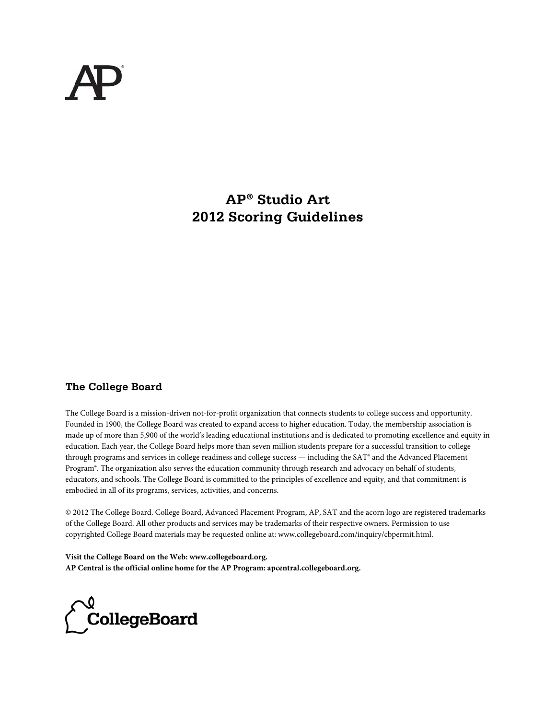## **AP® Studio Art 2012 Scoring Guidelines**

### **The College Board**

The College Board is a mission-driven not-for-profit organization that connects students to college success and opportunity. Founded in 1900, the College Board was created to expand access to higher education. Today, the membership association is made up of more than 5,900 of the world's leading educational institutions and is dedicated to promoting excellence and equity in education. Each year, the College Board helps more than seven million students prepare for a successful transition to college through programs and services in college readiness and college success — including the SAT® and the Advanced Placement Program®. The organization also serves the education community through research and advocacy on behalf of students, educators, and schools. The College Board is committed to the principles of excellence and equity, and that commitment is embodied in all of its programs, services, activities, and concerns.

© 2012 The College Board. College Board, Advanced Placement Program, AP, SAT and the acorn logo are registered trademarks of the College Board. All other products and services may be trademarks of their respective owners. Permission to use copyrighted College Board materials may be requested online at: www.collegeboard.com/inquiry/cbpermit.html.

**Visit the College Board on the Web: www.collegeboard.org. AP Central is the official online home for the AP Program: apcentral.collegeboard.org.**

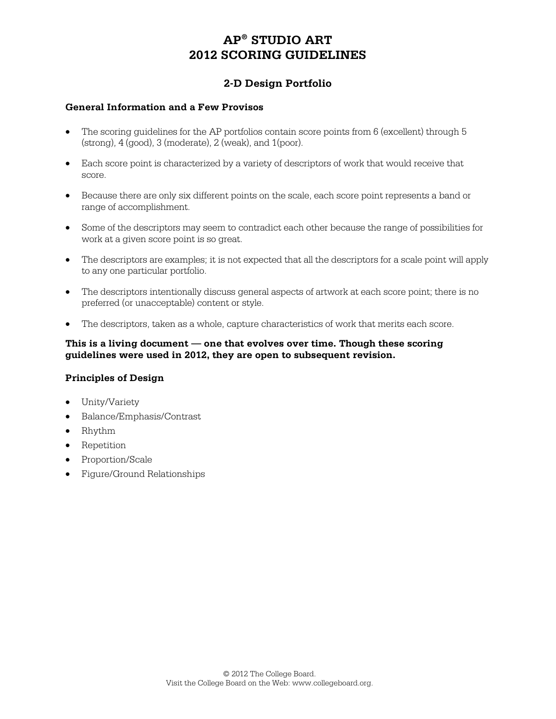### **2-D Design Portfolio**

#### **General Information and a Few Provisos**

- The scoring guidelines for the AP portfolios contain score points from 6 (excellent) through 5  $(\text{strong})$ ,  $4 \text{ (good)}$ ,  $3 \text{ (moderate)}$ ,  $2 \text{ (weak)}$ , and  $1 \text{ (poor)}$ .
- Each score point is characterized by a variety of descriptors of work that would receive that score.
- Because there are only six different points on the scale, each score point represents a band or range of accomplishment.
- Some of the descriptors may seem to contradict each other because the range of possibilities for work at a given score point is so great.
- The descriptors are examples; it is not expected that all the descriptors for a scale point will apply to any one particular portfolio.
- The descriptors intentionally discuss general aspects of artwork at each score point; there is no preferred (or unacceptable) content or style.
- The descriptors, taken as a whole, capture characteristics of work that merits each score.

#### **This is a living document — one that evolves over time. Though these scoring guidelines were used in 2012, they are open to subsequent revision.**

#### **Principles of Design**

- Unity/Variety
- Balance/Emphasis/Contrast
- Rhythm
- Repetition
- Proportion/Scale
- Figure/Ground Relationships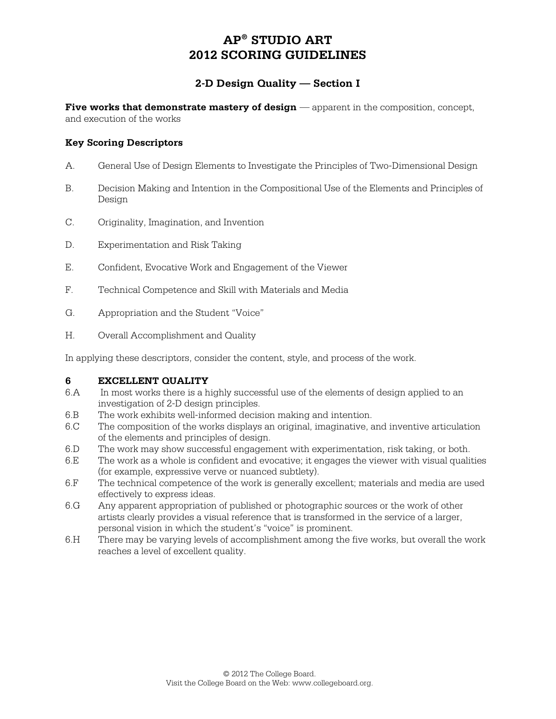### **2-D Design Quality — Section I**

**Five works that demonstrate mastery of design** — apparent in the composition, concept, and execution of the works

#### **Key Scoring Descriptors**

- A. General Use of Design Elements to Investigate the Principles of Two-Dimensional Design
- B. Decision Making and Intention in the Compositional Use of the Elements and Principles of Design
- C. Originality, Imagination, and Invention
- D. Experimentation and Risk Taking
- E. Confident, Evocative Work and Engagement of the Viewer
- F. Technical Competence and Skill with Materials and Media
- G. Appropriation and the Student "Voice"
- H. Overall Accomplishment and Quality

In applying these descriptors, consider the content, style, and process of the work.

#### **6 EXCELLENT QUALITY**

- 6.A In most works there is a highly successful use of the elements of design applied to an investigation of 2-D design principles.
- 6.B The work exhibits well-informed decision making and intention.
- 6.C The composition of the works displays an original, imaginative, and inventive articulation of the elements and principles of design.
- 6.D The work may show successful engagement with experimentation, risk taking, or both.
- 6.E The work as a whole is confident and evocative; it engages the viewer with visual qualities (for example, expressive verve or nuanced subtlety).
- 6.F The technical competence of the work is generally excellent; materials and media are used effectively to express ideas.
- 6.G Any apparent appropriation of published or photographic sources or the work of other artists clearly provides a visual reference that is transformed in the service of a larger, personal vision in which the student's "voice" is prominent.
- 6.H There may be varying levels of accomplishment among the five works, but overall the work reaches a level of excellent quality.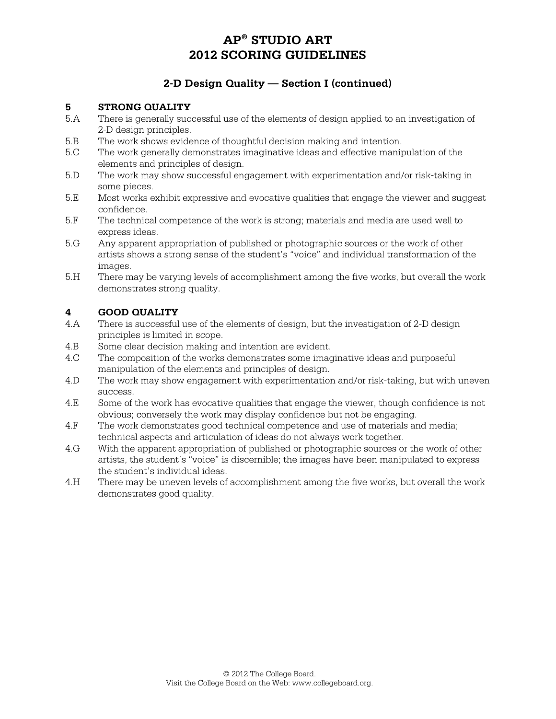## **2-D Design Quality — Section I (continued)**

#### **5 STRONG QUALITY**

- 5.A There is generally successful use of the elements of design applied to an investigation of 2-D design principles.
- 5.B The work shows evidence of thoughtful decision making and intention.
- 5.C The work generally demonstrates imaginative ideas and effective manipulation of the elements and principles of design.
- 5.D The work may show successful engagement with experimentation and/or risk-taking in some pieces.
- 5.E Most works exhibit expressive and evocative qualities that engage the viewer and suggest confidence.
- 5.F The technical competence of the work is strong; materials and media are used well to express ideas.
- 5.G Any apparent appropriation of published or photographic sources or the work of other artists shows a strong sense of the student's "voice" and individual transformation of the images.
- 5.H There may be varying levels of accomplishment among the five works, but overall the work demonstrates strong quality.

### **4 GOOD QUALITY**

- 4.A There is successful use of the elements of design, but the investigation of 2-D design principles is limited in scope.
- 4.B Some clear decision making and intention are evident.
- 4.C The composition of the works demonstrates some imaginative ideas and purposeful manipulation of the elements and principles of design.
- 4.D The work may show engagement with experimentation and/or risk-taking, but with uneven success.
- 4.E Some of the work has evocative qualities that engage the viewer, though confidence is not obvious; conversely the work may display confidence but not be engaging.
- 4.F The work demonstrates good technical competence and use of materials and media; technical aspects and articulation of ideas do not always work together.
- 4.G With the apparent appropriation of published or photographic sources or the work of other artists, the student's "voice" is discernible; the images have been manipulated to express the student's individual ideas.
- 4.H There may be uneven levels of accomplishment among the five works, but overall the work demonstrates good quality.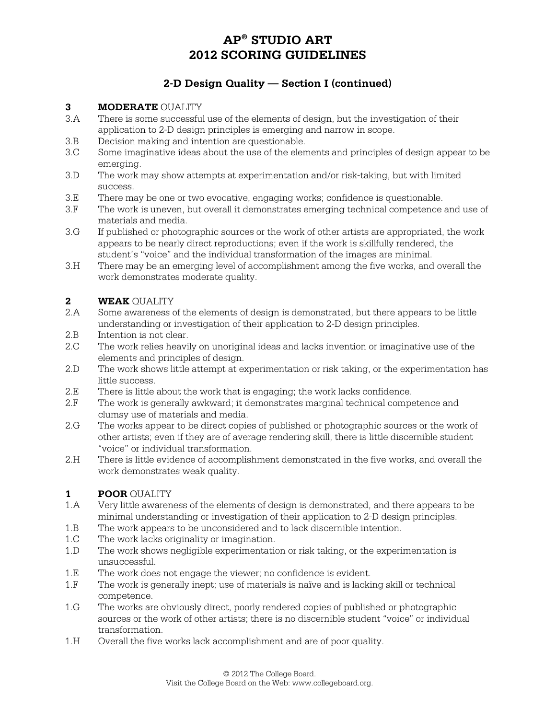## **2-D Design Quality — Section I (continued)**

## **3 MODERATE** QUALITY

- 3.A There is some successful use of the elements of design, but the investigation of their application to 2-D design principles is emerging and narrow in scope.
- 3.B Decision making and intention are questionable.
- 3.C Some imaginative ideas about the use of the elements and principles of design appear to be emerging.
- 3.D The work may show attempts at experimentation and/or risk-taking, but with limited success.
- 3.E There may be one or two evocative, engaging works; confidence is questionable.
- 3.F The work is uneven, but overall it demonstrates emerging technical competence and use of materials and media.
- 3.G If published or photographic sources or the work of other artists are appropriated, the work appears to be nearly direct reproductions; even if the work is skillfully rendered, the student's "voice" and the individual transformation of the images are minimal.
- 3.H There may be an emerging level of accomplishment among the five works, and overall the work demonstrates moderate quality.

### **2 WEAK** QUALITY

- 2.A Some awareness of the elements of design is demonstrated, but there appears to be little understanding or investigation of their application to 2-D design principles.
- 2.B Intention is not clear.
- 2.C The work relies heavily on unoriginal ideas and lacks invention or imaginative use of the elements and principles of design.
- 2.D The work shows little attempt at experimentation or risk taking, or the experimentation has little success.
- 2.E There is little about the work that is engaging; the work lacks confidence.
- 2.F The work is generally awkward; it demonstrates marginal technical competence and clumsy use of materials and media.
- 2.G The works appear to be direct copies of published or photographic sources or the work of other artists; even if they are of average rendering skill, there is little discernible student "voice" or individual transformation.
- 2.H There is little evidence of accomplishment demonstrated in the five works, and overall the work demonstrates weak quality.

#### **1 POOR** QUALITY

- 1.A Very little awareness of the elements of design is demonstrated, and there appears to be minimal understanding or investigation of their application to 2-D design principles.
- 1.B The work appears to be unconsidered and to lack discernible intention.
- 1.C The work lacks originality or imagination.
- 1.D The work shows negligible experimentation or risk taking, or the experimentation is unsuccessful.
- 1.E The work does not engage the viewer; no confidence is evident.<br>1.F The work is generally inept: use of materials is naïve and is lacki
- The work is generally inept; use of materials is naïve and is lacking skill or technical competence.
- 1.G The works are obviously direct, poorly rendered copies of published or photographic sources or the work of other artists; there is no discernible student "voice" or individual transformation.
- 1.H Overall the five works lack accomplishment and are of poor quality.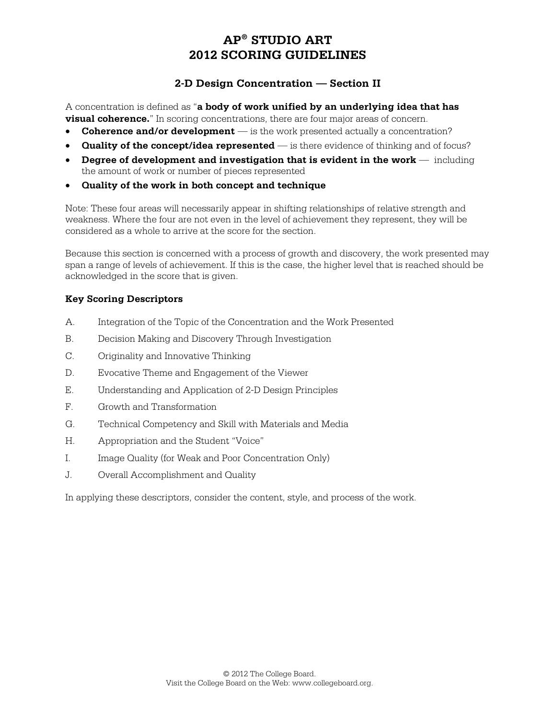### **2-D Design Concentration — Section II**

A concentration is defined as "**a body of work unified by an underlying idea that has visual coherence.**" In scoring concentrations, there are four major areas of concern.

- **Coherence and/or development** is the work presented actually a concentration?
- **Quality of the concept/idea represented** is there evidence of thinking and of focus?
- **Degree of development and investigation that is evident in the work —** including the amount of work or number of pieces represented
- **Quality of the work in both concept and technique**

Note: These four areas will necessarily appear in shifting relationships of relative strength and weakness. Where the four are not even in the level of achievement they represent, they will be considered as a whole to arrive at the score for the section.

Because this section is concerned with a process of growth and discovery, the work presented may span a range of levels of achievement. If this is the case, the higher level that is reached should be acknowledged in the score that is given.

### **Key Scoring Descriptors**

- A. Integration of the Topic of the Concentration and the Work Presented
- B. Decision Making and Discovery Through Investigation
- C. Originality and Innovative Thinking
- D. Evocative Theme and Engagement of the Viewer
- E. Understanding and Application of 2-D Design Principles
- F. Growth and Transformation
- G. Technical Competency and Skill with Materials and Media
- H. Appropriation and the Student "Voice"
- I. Image Quality (for Weak and Poor Concentration Only)
- J. Overall Accomplishment and Quality

In applying these descriptors, consider the content, style, and process of the work.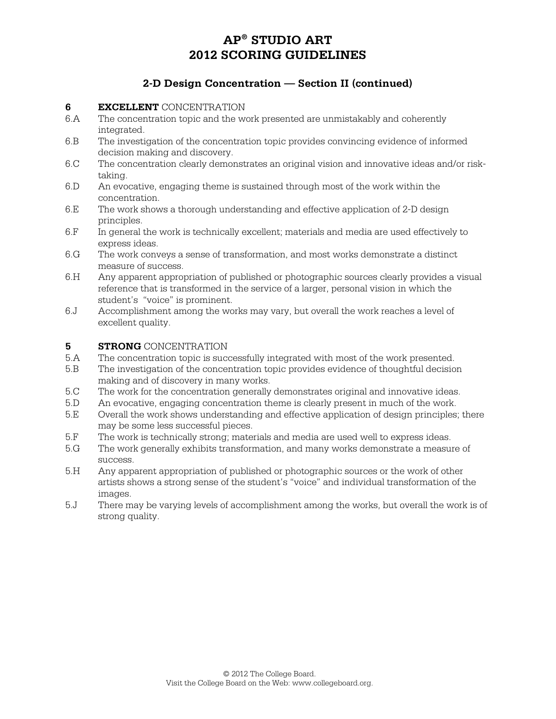### **2-D Design Concentration — Section II (continued)**

#### **6 EXCELLENT** CONCENTRATION

- 6.A The concentration topic and the work presented are unmistakably and coherently integrated.
- 6.B The investigation of the concentration topic provides convincing evidence of informed decision making and discovery.
- 6.C The concentration clearly demonstrates an original vision and innovative ideas and/or risktaking.
- 6.D An evocative, engaging theme is sustained through most of the work within the concentration.
- 6.E The work shows a thorough understanding and effective application of 2-D design principles.
- 6.F In general the work is technically excellent; materials and media are used effectively to express ideas.
- 6.G The work conveys a sense of transformation, and most works demonstrate a distinct measure of success.
- 6.H Any apparent appropriation of published or photographic sources clearly provides a visual reference that is transformed in the service of a larger, personal vision in which the student's "voice" is prominent.
- 6.J Accomplishment among the works may vary, but overall the work reaches a level of excellent quality.

#### **5 STRONG** CONCENTRATION

- 5.A The concentration topic is successfully integrated with most of the work presented.
- 5.B The investigation of the concentration topic provides evidence of thoughtful decision making and of discovery in many works.
- 5.C The work for the concentration generally demonstrates original and innovative ideas.
- 5.D An evocative, engaging concentration theme is clearly present in much of the work.
- 5.E Overall the work shows understanding and effective application of design principles; there may be some less successful pieces.
- 5.F The work is technically strong; materials and media are used well to express ideas.
- 5.G The work generally exhibits transformation, and many works demonstrate a measure of success.
- 5.H Any apparent appropriation of published or photographic sources or the work of other artists shows a strong sense of the student's "voice" and individual transformation of the images.
- 5.J There may be varying levels of accomplishment among the works, but overall the work is of strong quality.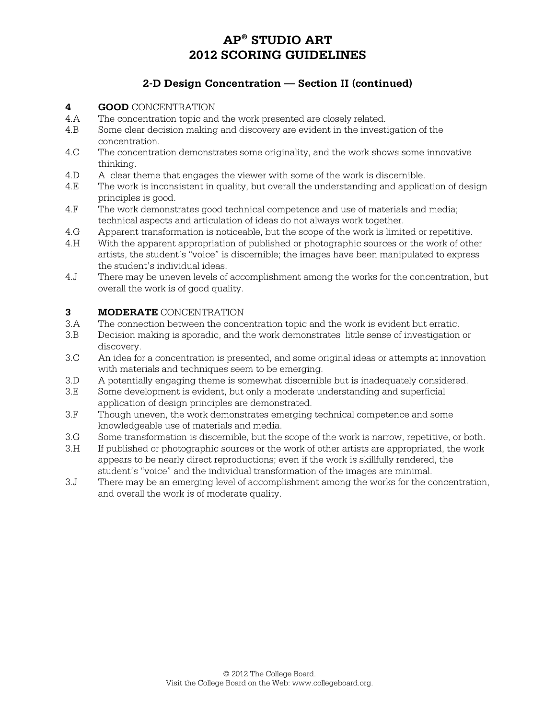## **2-D Design Concentration — Section II (continued)**

#### **4 GOOD** CONCENTRATION

- 4.A The concentration topic and the work presented are closely related.
- 4.B Some clear decision making and discovery are evident in the investigation of the concentration.
- 4.C The concentration demonstrates some originality, and the work shows some innovative thinking.
- 4.D A clear theme that engages the viewer with some of the work is discernible.
- 4.E The work is inconsistent in quality, but overall the understanding and application of design principles is good.
- 4.F The work demonstrates good technical competence and use of materials and media; technical aspects and articulation of ideas do not always work together.
- 4.G Apparent transformation is noticeable, but the scope of the work is limited or repetitive.
- 4.H With the apparent appropriation of published or photographic sources or the work of other artists, the student's "voice" is discernible; the images have been manipulated to express the student's individual ideas.
- 4.J There may be uneven levels of accomplishment among the works for the concentration, but overall the work is of good quality.

#### **3 MODERATE** CONCENTRATION

- 3.A The connection between the concentration topic and the work is evident but erratic.
- 3.B Decision making is sporadic, and the work demonstrates little sense of investigation or discovery.
- 3.C An idea for a concentration is presented, and some original ideas or attempts at innovation with materials and techniques seem to be emerging.
- 3.D A potentially engaging theme is somewhat discernible but is inadequately considered.
- 3.E Some development is evident, but only a moderate understanding and superficial application of design principles are demonstrated.
- 3.F Though uneven, the work demonstrates emerging technical competence and some knowledgeable use of materials and media.
- 3.G Some transformation is discernible, but the scope of the work is narrow, repetitive, or both.
- 3.H If published or photographic sources or the work of other artists are appropriated, the work appears to be nearly direct reproductions; even if the work is skillfully rendered, the student's "voice" and the individual transformation of the images are minimal.
- 3.J There may be an emerging level of accomplishment among the works for the concentration, and overall the work is of moderate quality.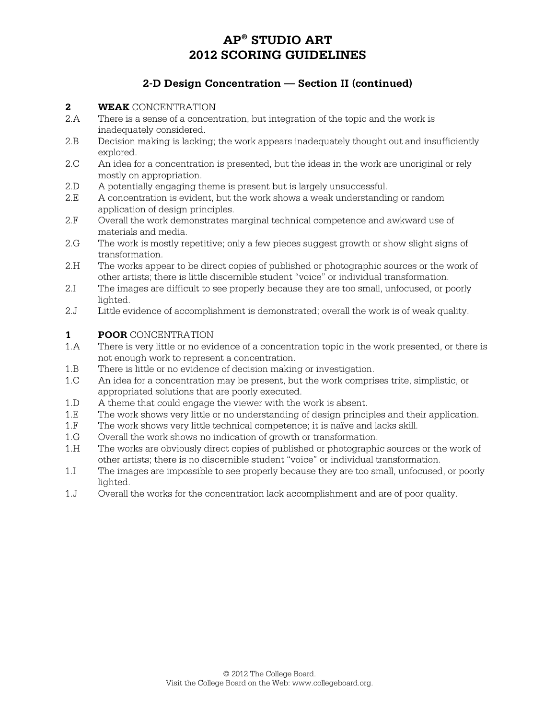### **2-D Design Concentration — Section II (continued)**

#### **2 WEAK** CONCENTRATION

- 2.A There is a sense of a concentration, but integration of the topic and the work is inadequately considered.
- 2.B Decision making is lacking; the work appears inadequately thought out and insufficiently explored.
- 2.C An idea for a concentration is presented, but the ideas in the work are unoriginal or rely mostly on appropriation.
- 2.D A potentially engaging theme is present but is largely unsuccessful.
- 2.E A concentration is evident, but the work shows a weak understanding or random application of design principles.
- 2.F Overall the work demonstrates marginal technical competence and awkward use of materials and media.
- 2.G The work is mostly repetitive; only a few pieces suggest growth or show slight signs of transformation.
- 2.H The works appear to be direct copies of published or photographic sources or the work of other artists; there is little discernible student "voice" or individual transformation.
- 2.I The images are difficult to see properly because they are too small, unfocused, or poorly lighted.
- 2.J Little evidence of accomplishment is demonstrated; overall the work is of weak quality.

#### **1 POOR** CONCENTRATION

- 1.A There is very little or no evidence of a concentration topic in the work presented, or there is not enough work to represent a concentration.
- 1.B There is little or no evidence of decision making or investigation.
- 1.C An idea for a concentration may be present, but the work comprises trite, simplistic, or appropriated solutions that are poorly executed.
- 1.D A theme that could engage the viewer with the work is absent.
- 1.E The work shows very little or no understanding of design principles and their application.
- 1.F The work shows very little technical competence; it is naïve and lacks skill.
- 1.G Overall the work shows no indication of growth or transformation.
- 1.H The works are obviously direct copies of published or photographic sources or the work of other artists; there is no discernible student "voice" or individual transformation.
- 1.I The images are impossible to see properly because they are too small, unfocused, or poorly lighted.
- 1.J Overall the works for the concentration lack accomplishment and are of poor quality.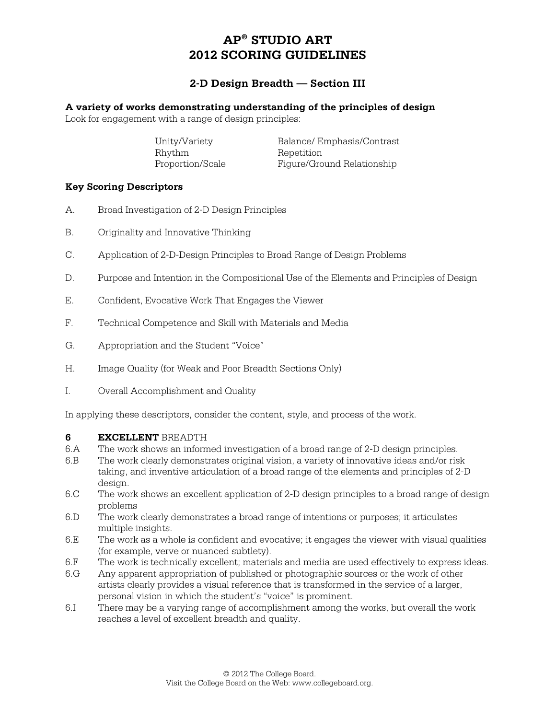### **2-D Design Breadth — Section III**

#### **A variety of works demonstrating understanding of the principles of design**

Look for engagement with a range of design principles:

| Unity/Variety    | Balance/Emphasis/Contrast  |
|------------------|----------------------------|
| Rhythm           | Repetition                 |
| Proportion/Scale | Figure/Ground Relationship |

#### **Key Scoring Descriptors**

- A. Broad Investigation of 2-D Design Principles
- B. Originality and Innovative Thinking
- C. Application of 2-D-Design Principles to Broad Range of Design Problems
- D. Purpose and Intention in the Compositional Use of the Elements and Principles of Design
- E. Confident, Evocative Work That Engages the Viewer
- F. Technical Competence and Skill with Materials and Media
- G. Appropriation and the Student "Voice"
- H. Image Quality (for Weak and Poor Breadth Sections Only)
- I. Overall Accomplishment and Quality

In applying these descriptors, consider the content, style, and process of the work.

#### **6 EXCELLENT** BREADTH

- 6.A The work shows an informed investigation of a broad range of 2-D design principles.
- 6.B The work clearly demonstrates original vision, a variety of innovative ideas and/or risk taking, and inventive articulation of a broad range of the elements and principles of 2-D design.
- 6.C The work shows an excellent application of 2-D design principles to a broad range of design problems
- 6.D The work clearly demonstrates a broad range of intentions or purposes; it articulates multiple insights.
- 6.E The work as a whole is confident and evocative; it engages the viewer with visual qualities (for example, verve or nuanced subtlety).
- 6.F The work is technically excellent; materials and media are used effectively to express ideas.
- 6.G Any apparent appropriation of published or photographic sources or the work of other artists clearly provides a visual reference that is transformed in the service of a larger, personal vision in which the student's "voice" is prominent.
- 6.I There may be a varying range of accomplishment among the works, but overall the work reaches a level of excellent breadth and quality.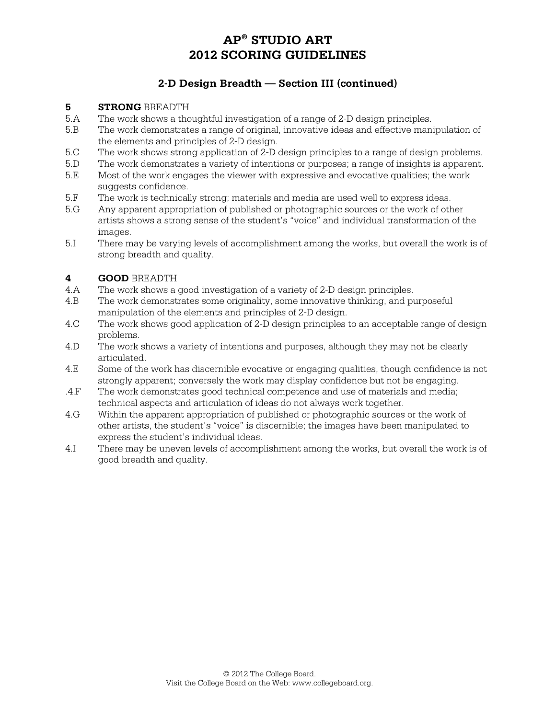### **2-D Design Breadth — Section III (continued)**

#### **5 STRONG** BREADTH

- 5.A The work shows a thoughtful investigation of a range of 2-D design principles.
- 5.B The work demonstrates a range of original, innovative ideas and effective manipulation of the elements and principles of 2-D design.
- 5.C The work shows strong application of 2-D design principles to a range of design problems.
- 5.D The work demonstrates a variety of intentions or purposes; a range of insights is apparent.
- 5.E Most of the work engages the viewer with expressive and evocative qualities; the work suggests confidence.
- 5.F The work is technically strong; materials and media are used well to express ideas.
- 5.G Any apparent appropriation of published or photographic sources or the work of other artists shows a strong sense of the student's "voice" and individual transformation of the images.
- 5.I There may be varying levels of accomplishment among the works, but overall the work is of strong breadth and quality.

#### **4 GOOD** BREADTH

- 4.A The work shows a good investigation of a variety of 2-D design principles.
- 4.B The work demonstrates some originality, some innovative thinking, and purposeful manipulation of the elements and principles of 2-D design.
- 4.C The work shows good application of 2-D design principles to an acceptable range of design problems.
- 4.D The work shows a variety of intentions and purposes, although they may not be clearly articulated.
- 4.E Some of the work has discernible evocative or engaging qualities, though confidence is not strongly apparent; conversely the work may display confidence but not be engaging.
- .4.F The work demonstrates good technical competence and use of materials and media; technical aspects and articulation of ideas do not always work together.
- 4.G Within the apparent appropriation of published or photographic sources or the work of other artists, the student's "voice" is discernible; the images have been manipulated to express the student's individual ideas.
- 4.I There may be uneven levels of accomplishment among the works, but overall the work is of good breadth and quality.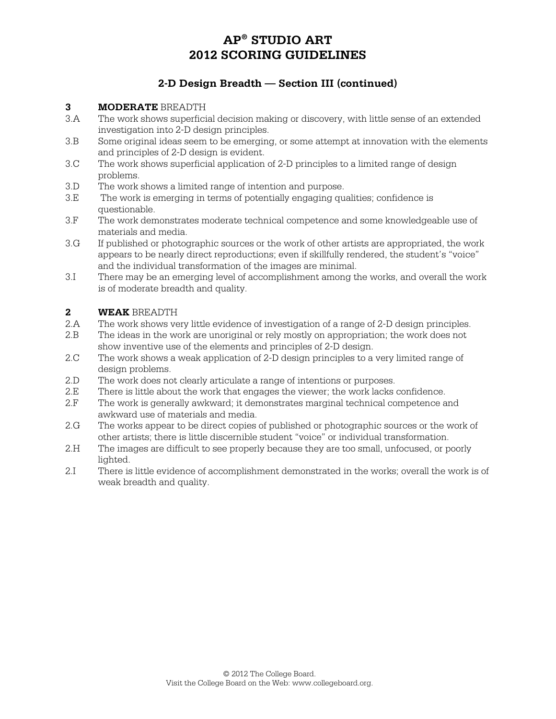### **2-D Design Breadth — Section III (continued)**

#### **3 MODERATE** BREADTH

- 3.A The work shows superficial decision making or discovery, with little sense of an extended investigation into 2-D design principles.
- 3.B Some original ideas seem to be emerging, or some attempt at innovation with the elements and principles of 2-D design is evident.
- 3.C The work shows superficial application of 2-D principles to a limited range of design problems.
- 3.D The work shows a limited range of intention and purpose.
- 3.E The work is emerging in terms of potentially engaging qualities; confidence is questionable.
- 3.F The work demonstrates moderate technical competence and some knowledgeable use of materials and media.
- 3.G If published or photographic sources or the work of other artists are appropriated, the work appears to be nearly direct reproductions; even if skillfully rendered, the student's "voice" and the individual transformation of the images are minimal.
- 3.I There may be an emerging level of accomplishment among the works, and overall the work is of moderate breadth and quality.

#### **2 WEAK** BREADTH

- 2.A The work shows very little evidence of investigation of a range of 2-D design principles.
- 2.B The ideas in the work are unoriginal or rely mostly on appropriation; the work does not show inventive use of the elements and principles of 2-D design.
- 2.C The work shows a weak application of 2-D design principles to a very limited range of design problems.
- 2.D The work does not clearly articulate a range of intentions or purposes.<br>2.E There is little about the work that engages the viewer; the work lacks
- There is little about the work that engages the viewer; the work lacks confidence.
- 2.F The work is generally awkward; it demonstrates marginal technical competence and awkward use of materials and media.
- 2.G The works appear to be direct copies of published or photographic sources or the work of other artists; there is little discernible student "voice" or individual transformation.
- 2.H The images are difficult to see properly because they are too small, unfocused, or poorly lighted.
- 2.I There is little evidence of accomplishment demonstrated in the works; overall the work is of weak breadth and quality.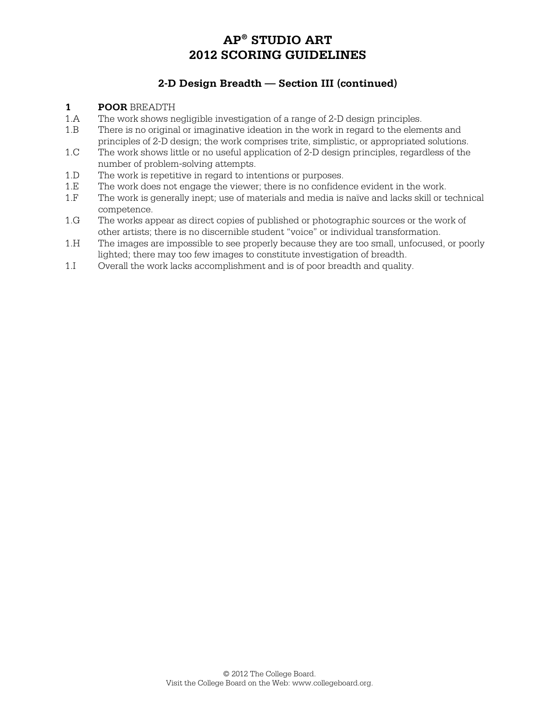### **2-D Design Breadth — Section III (continued)**

#### **1 POOR** BREADTH

- 1.A The work shows negligible investigation of a range of 2-D design principles.
- 1.B There is no original or imaginative ideation in the work in regard to the elements and principles of 2-D design; the work comprises trite, simplistic, or appropriated solutions.
- 1.C The work shows little or no useful application of 2-D design principles, regardless of the number of problem-solving attempts.
- 1.D The work is repetitive in regard to intentions or purposes.
- 1.E The work does not engage the viewer; there is no confidence evident in the work.<br>1 F The work is generally inept: use of materials and media is naïve and lacks skill or t
- The work is generally inept; use of materials and media is naïve and lacks skill or technical competence.
- 1.G The works appear as direct copies of published or photographic sources or the work of other artists; there is no discernible student "voice" or individual transformation.
- 1.H The images are impossible to see properly because they are too small, unfocused, or poorly lighted; there may too few images to constitute investigation of breadth.
- 1.I Overall the work lacks accomplishment and is of poor breadth and quality.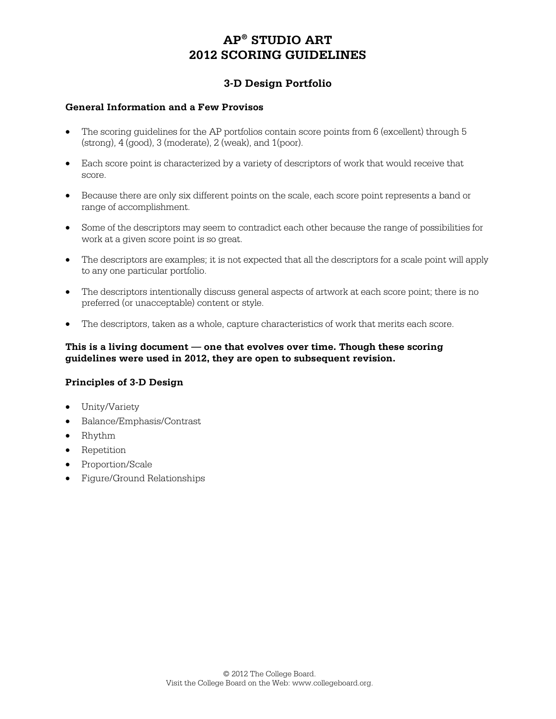### **3-D Design Portfolio**

#### **General Information and a Few Provisos**

- The scoring guidelines for the AP portfolios contain score points from 6 (excellent) through 5  $(\text{strong})$ ,  $4 \text{ (good)}$ ,  $3 \text{ (moderate)}$ ,  $2 \text{ (weak)}$ , and  $1 \text{ (poor)}$ .
- Each score point is characterized by a variety of descriptors of work that would receive that score.
- Because there are only six different points on the scale, each score point represents a band or range of accomplishment.
- Some of the descriptors may seem to contradict each other because the range of possibilities for work at a given score point is so great.
- The descriptors are examples; it is not expected that all the descriptors for a scale point will apply to any one particular portfolio.
- The descriptors intentionally discuss general aspects of artwork at each score point; there is no preferred (or unacceptable) content or style.
- The descriptors, taken as a whole, capture characteristics of work that merits each score.

#### **This is a living document — one that evolves over time. Though these scoring guidelines were used in 2012, they are open to subsequent revision.**

#### **Principles of 3-D Design**

- Unity/Variety
- Balance/Emphasis/Contrast
- Rhythm
- Repetition
- Proportion/Scale
- Figure/Ground Relationships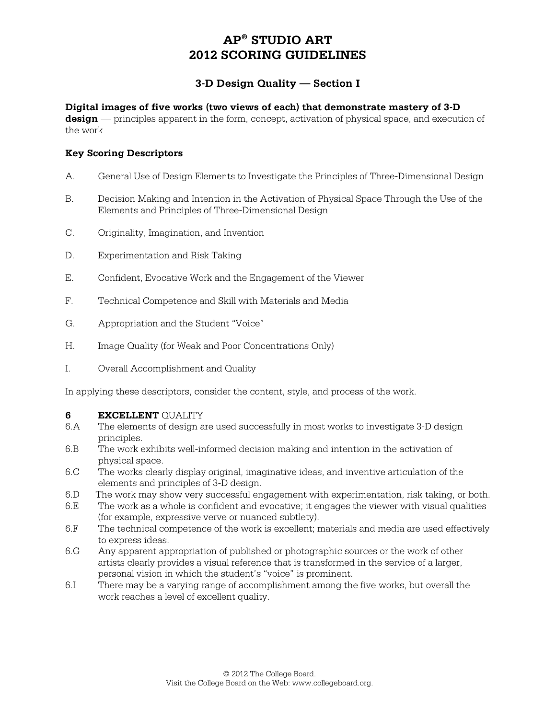### **3-D Design Quality — Section I**

#### **Digital images of five works (two views of each) that demonstrate mastery of 3-D**

**design** — principles apparent in the form, concept, activation of physical space, and execution of the work

#### **Key Scoring Descriptors**

- A. General Use of Design Elements to Investigate the Principles of Three-Dimensional Design
- B. Decision Making and Intention in the Activation of Physical Space Through the Use of the Elements and Principles of Three-Dimensional Design
- C. Originality, Imagination, and Invention
- D. Experimentation and Risk Taking
- E. Confident, Evocative Work and the Engagement of the Viewer
- F. Technical Competence and Skill with Materials and Media
- G. Appropriation and the Student "Voice"
- H. Image Quality (for Weak and Poor Concentrations Only)
- I. Overall Accomplishment and Quality

In applying these descriptors, consider the content, style, and process of the work.

#### **6 EXCELLENT** QUALITY

- 6.A The elements of design are used successfully in most works to investigate 3-D design principles.
- 6.B The work exhibits well-informed decision making and intention in the activation of physical space.
- 6.C The works clearly display original, imaginative ideas, and inventive articulation of the elements and principles of 3-D design.
- 6.D The work may show very successful engagement with experimentation, risk taking, or both.
- 6.E The work as a whole is confident and evocative; it engages the viewer with visual qualities (for example, expressive verve or nuanced subtlety).
- 6.F The technical competence of the work is excellent; materials and media are used effectively to express ideas.
- 6.G Any apparent appropriation of published or photographic sources or the work of other artists clearly provides a visual reference that is transformed in the service of a larger, personal vision in which the student's "voice" is prominent.
- 6.I There may be a varying range of accomplishment among the five works, but overall the work reaches a level of excellent quality.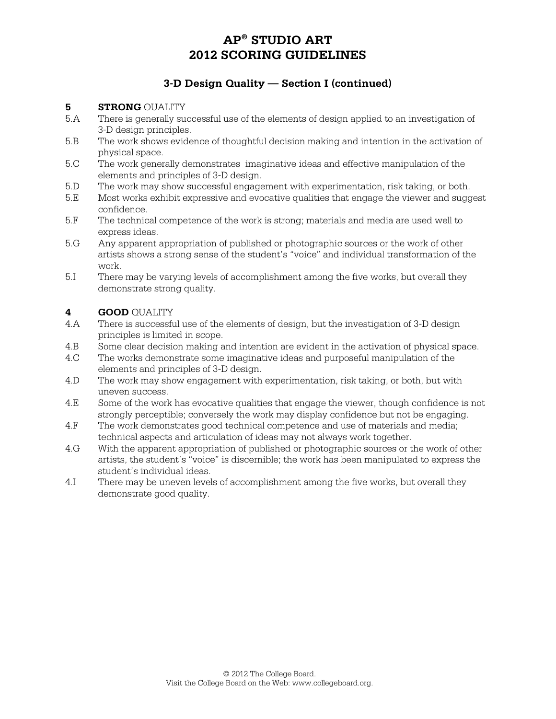## **3-D Design Quality — Section I (continued)**

#### **5 STRONG** QUALITY

- 5.A There is generally successful use of the elements of design applied to an investigation of 3-D design principles.
- 5.B The work shows evidence of thoughtful decision making and intention in the activation of physical space.
- 5.C The work generally demonstrates imaginative ideas and effective manipulation of the elements and principles of 3-D design.
- 5.D The work may show successful engagement with experimentation, risk taking, or both.
- 5.E Most works exhibit expressive and evocative qualities that engage the viewer and suggest confidence.
- 5.F The technical competence of the work is strong; materials and media are used well to express ideas.
- 5.G Any apparent appropriation of published or photographic sources or the work of other artists shows a strong sense of the student's "voice" and individual transformation of the work.
- 5.I There may be varying levels of accomplishment among the five works, but overall they demonstrate strong quality.

#### **4 GOOD** QUALITY

- 4.A There is successful use of the elements of design, but the investigation of 3-D design principles is limited in scope.
- 4.B Some clear decision making and intention are evident in the activation of physical space.
- 4.C The works demonstrate some imaginative ideas and purposeful manipulation of the elements and principles of 3-D design.
- 4.D The work may show engagement with experimentation, risk taking, or both, but with uneven success.
- 4.E Some of the work has evocative qualities that engage the viewer, though confidence is not strongly perceptible; conversely the work may display confidence but not be engaging.
- 4.F The work demonstrates good technical competence and use of materials and media; technical aspects and articulation of ideas may not always work together.
- 4.G With the apparent appropriation of published or photographic sources or the work of other artists, the student's "voice" is discernible; the work has been manipulated to express the student's individual ideas.
- 4.I There may be uneven levels of accomplishment among the five works, but overall they demonstrate good quality.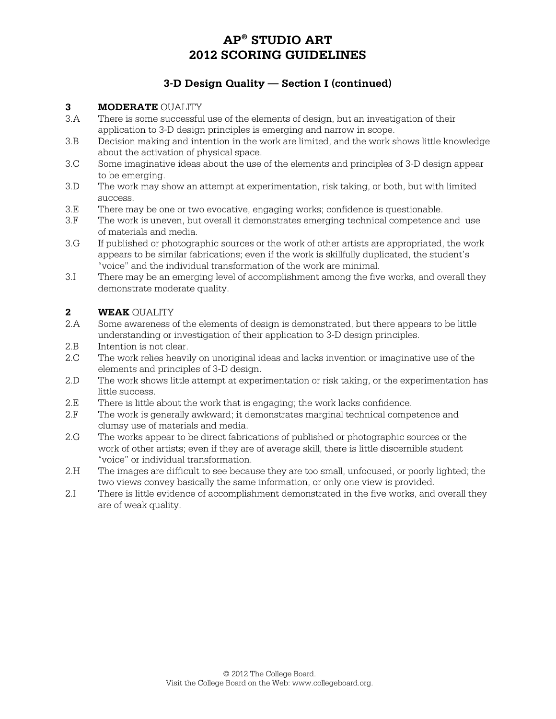## **3-D Design Quality — Section I (continued)**

### **3 MODERATE** QUALITY

- 3.A There is some successful use of the elements of design, but an investigation of their application to 3-D design principles is emerging and narrow in scope.
- 3.B Decision making and intention in the work are limited, and the work shows little knowledge about the activation of physical space.
- 3.C Some imaginative ideas about the use of the elements and principles of 3-D design appear to be emerging.
- 3.D The work may show an attempt at experimentation, risk taking, or both, but with limited success.
- 3.E There may be one or two evocative, engaging works; confidence is questionable.
- 3.F The work is uneven, but overall it demonstrates emerging technical competence and use of materials and media.
- 3.G If published or photographic sources or the work of other artists are appropriated, the work appears to be similar fabrications; even if the work is skillfully duplicated, the student's "voice" and the individual transformation of the work are minimal.
- 3.I There may be an emerging level of accomplishment among the five works, and overall they demonstrate moderate quality.

#### **2 WEAK** QUALITY

- 2.A Some awareness of the elements of design is demonstrated, but there appears to be little understanding or investigation of their application to 3-D design principles.
- 2.B Intention is not clear.
- 2.C The work relies heavily on unoriginal ideas and lacks invention or imaginative use of the elements and principles of 3-D design.
- 2.D The work shows little attempt at experimentation or risk taking, or the experimentation has little success.
- 2.E There is little about the work that is engaging; the work lacks confidence.
- 2.F The work is generally awkward; it demonstrates marginal technical competence and clumsy use of materials and media.
- 2.G The works appear to be direct fabrications of published or photographic sources or the work of other artists; even if they are of average skill, there is little discernible student "voice" or individual transformation.
- 2.H The images are difficult to see because they are too small, unfocused, or poorly lighted; the two views convey basically the same information, or only one view is provided.
- 2.I There is little evidence of accomplishment demonstrated in the five works, and overall they are of weak quality.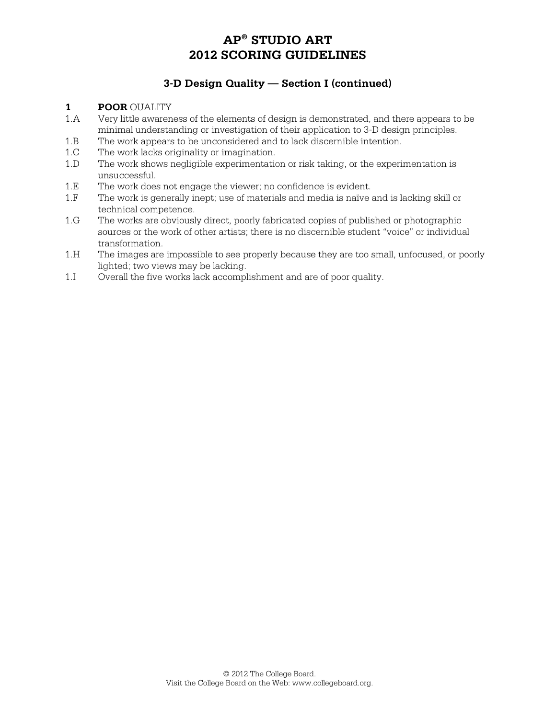## **3-D Design Quality — Section I (continued)**

#### **1 POOR** QUALITY

- 1.A Very little awareness of the elements of design is demonstrated, and there appears to be minimal understanding or investigation of their application to 3-D design principles.
- 1.B The work appears to be unconsidered and to lack discernible intention.
- 1.C The work lacks originality or imagination.
- 1.D The work shows negligible experimentation or risk taking, or the experimentation is unsuccessful.
- 1.E The work does not engage the viewer; no confidence is evident.
- 1.F The work is generally inept; use of materials and media is naïve and is lacking skill or technical competence.
- 1.G The works are obviously direct, poorly fabricated copies of published or photographic sources or the work of other artists; there is no discernible student "voice" or individual transformation.
- 1.H The images are impossible to see properly because they are too small, unfocused, or poorly lighted; two views may be lacking.
- 1.I Overall the five works lack accomplishment and are of poor quality.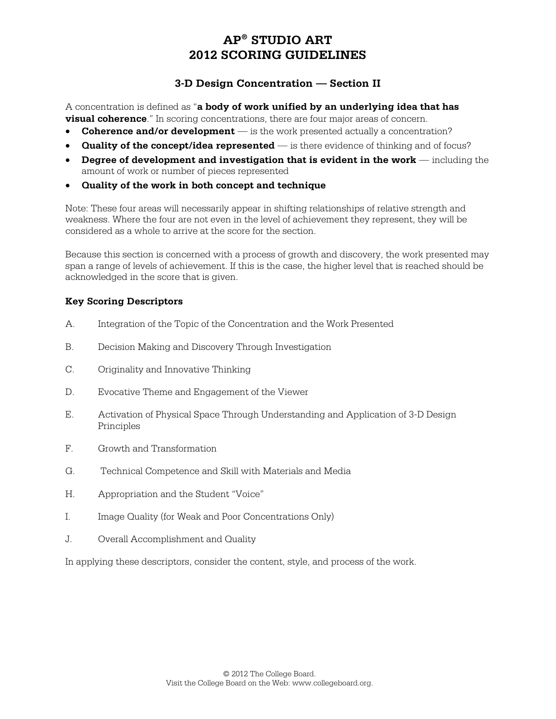### **3-D Design Concentration — Section II**

A concentration is defined as "**a body of work unified by an underlying idea that has visual coherence**." In scoring concentrations, there are four major areas of concern.

- **Coherence and/or development** is the work presented actually a concentration?
- **Quality of the concept/idea represented** is there evidence of thinking and of focus?
- **Degree of development and investigation that is evident in the work including the** amount of work or number of pieces represented
- **Quality of the work in both concept and technique**

Note: These four areas will necessarily appear in shifting relationships of relative strength and weakness. Where the four are not even in the level of achievement they represent, they will be considered as a whole to arrive at the score for the section.

Because this section is concerned with a process of growth and discovery, the work presented may span a range of levels of achievement. If this is the case, the higher level that is reached should be acknowledged in the score that is given.

### **Key Scoring Descriptors**

- A. Integration of the Topic of the Concentration and the Work Presented
- B. Decision Making and Discovery Through Investigation
- C. Originality and Innovative Thinking
- D. Evocative Theme and Engagement of the Viewer
- E. Activation of Physical Space Through Understanding and Application of 3-D Design Principles
- F. Growth and Transformation
- G. Technical Competence and Skill with Materials and Media
- H. Appropriation and the Student "Voice"
- I. Image Quality (for Weak and Poor Concentrations Only)
- J. Overall Accomplishment and Quality

In applying these descriptors, consider the content, style, and process of the work.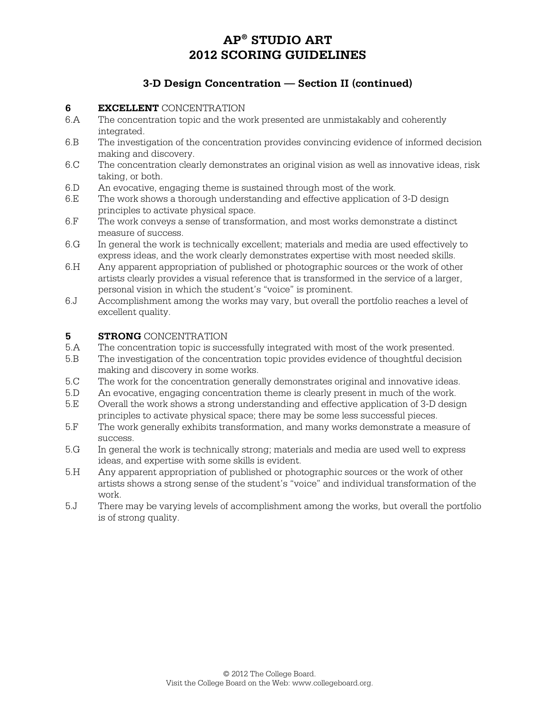### **3-D Design Concentration — Section II (continued)**

# **6 EXCELLENT** CONCENTRATION<br>6.A The concentration topic and the we

- The concentration topic and the work presented are unmistakably and coherently integrated.
- 6.B The investigation of the concentration provides convincing evidence of informed decision making and discovery.
- 6.C The concentration clearly demonstrates an original vision as well as innovative ideas, risk taking, or both.
- 6.D An evocative, engaging theme is sustained through most of the work.
- 6.E The work shows a thorough understanding and effective application of 3-D design principles to activate physical space.
- 6.F The work conveys a sense of transformation, and most works demonstrate a distinct measure of success.
- 6.G In general the work is technically excellent; materials and media are used effectively to express ideas, and the work clearly demonstrates expertise with most needed skills.
- 6.H Any apparent appropriation of published or photographic sources or the work of other artists clearly provides a visual reference that is transformed in the service of a larger, personal vision in which the student's "voice" is prominent.
- 6.J Accomplishment among the works may vary, but overall the portfolio reaches a level of excellent quality.

#### **5 STRONG** CONCENTRATION

- 5.A The concentration topic is successfully integrated with most of the work presented.
- 5.B The investigation of the concentration topic provides evidence of thoughtful decision making and discovery in some works.
- 5.C The work for the concentration generally demonstrates original and innovative ideas.
- 5.D An evocative, engaging concentration theme is clearly present in much of the work.
- 5.E Overall the work shows a strong understanding and effective application of 3-D design principles to activate physical space; there may be some less successful pieces.
- 5.F The work generally exhibits transformation, and many works demonstrate a measure of success.
- 5.G In general the work is technically strong; materials and media are used well to express ideas, and expertise with some skills is evident.
- 5.H Any apparent appropriation of published or photographic sources or the work of other artists shows a strong sense of the student's "voice" and individual transformation of the work.
- 5.J There may be varying levels of accomplishment among the works, but overall the portfolio is of strong quality.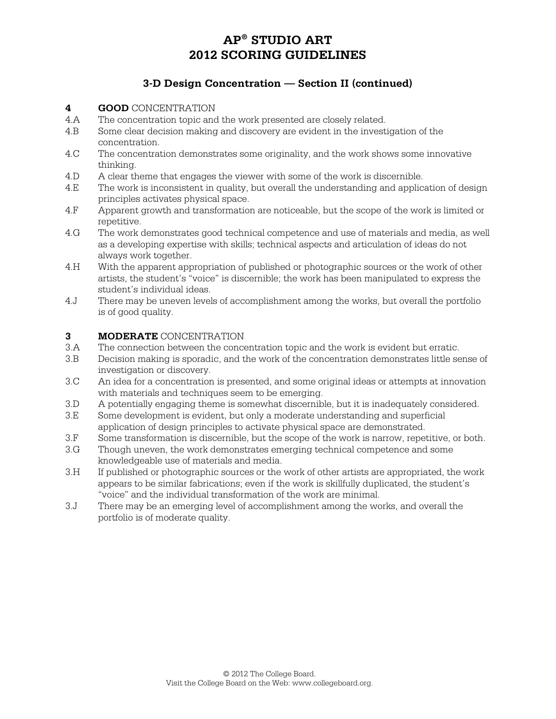### **3-D Design Concentration — Section II (continued)**

- **4 GOOD** CONCENTRATION<br>4.A The concentration topic and
- The concentration topic and the work presented are closely related.
- 4.B Some clear decision making and discovery are evident in the investigation of the concentration.
- 4.C The concentration demonstrates some originality, and the work shows some innovative thinking.
- 4.D A clear theme that engages the viewer with some of the work is discernible.
- 4.E The work is inconsistent in quality, but overall the understanding and application of design principles activates physical space.
- 4.F Apparent growth and transformation are noticeable, but the scope of the work is limited or repetitive.
- 4.G The work demonstrates good technical competence and use of materials and media, as well as a developing expertise with skills; technical aspects and articulation of ideas do not always work together.
- 4.H With the apparent appropriation of published or photographic sources or the work of other artists, the student's "voice" is discernible; the work has been manipulated to express the student's individual ideas.
- 4.J There may be uneven levels of accomplishment among the works, but overall the portfolio is of good quality.

#### **3 MODERATE** CONCENTRATION

- 3.A The connection between the concentration topic and the work is evident but erratic.
- 3.B Decision making is sporadic, and the work of the concentration demonstrates little sense of investigation or discovery.
- 3.C An idea for a concentration is presented, and some original ideas or attempts at innovation with materials and techniques seem to be emerging.
- 3.D A potentially engaging theme is somewhat discernible, but it is inadequately considered.
- 3.E Some development is evident, but only a moderate understanding and superficial application of design principles to activate physical space are demonstrated.
- 3.F Some transformation is discernible, but the scope of the work is narrow, repetitive, or both.
- 3.G Though uneven, the work demonstrates emerging technical competence and some knowledgeable use of materials and media.
- 3.H If published or photographic sources or the work of other artists are appropriated, the work appears to be similar fabrications; even if the work is skillfully duplicated, the student's "voice" and the individual transformation of the work are minimal.
- 3.J There may be an emerging level of accomplishment among the works, and overall the portfolio is of moderate quality.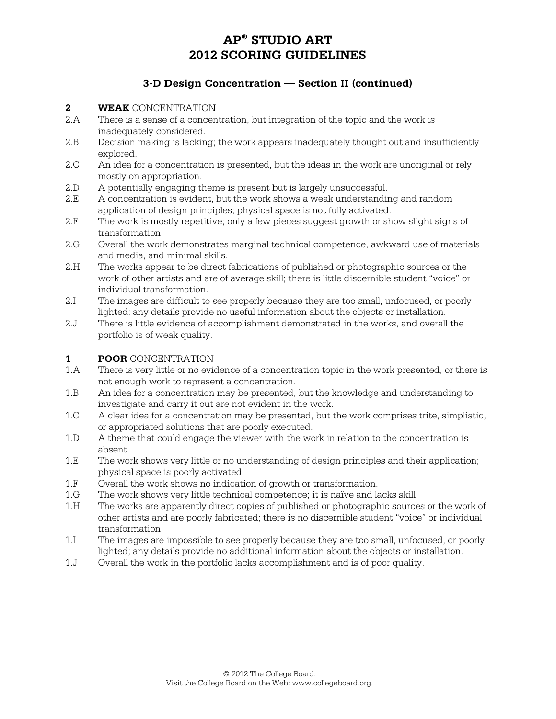### **3-D Design Concentration — Section II (continued)**

- **2 WEAK** CONCENTRATION<br>2.A There is a sense of a concen
- There is a sense of a concentration, but integration of the topic and the work is inadequately considered.
- 2.B Decision making is lacking; the work appears inadequately thought out and insufficiently explored.
- 2.C An idea for a concentration is presented, but the ideas in the work are unoriginal or rely mostly on appropriation.
- 2.D A potentially engaging theme is present but is largely unsuccessful.
- 2.E A concentration is evident, but the work shows a weak understanding and random application of design principles; physical space is not fully activated.
- 2.F The work is mostly repetitive; only a few pieces suggest growth or show slight signs of transformation.
- 2.G Overall the work demonstrates marginal technical competence, awkward use of materials and media, and minimal skills.
- 2.H The works appear to be direct fabrications of published or photographic sources or the work of other artists and are of average skill; there is little discernible student "voice" or individual transformation.
- 2.I The images are difficult to see properly because they are too small, unfocused, or poorly lighted; any details provide no useful information about the objects or installation.
- 2.J There is little evidence of accomplishment demonstrated in the works, and overall the portfolio is of weak quality.

#### **1 POOR** CONCENTRATION

- 1.A There is very little or no evidence of a concentration topic in the work presented, or there is not enough work to represent a concentration.
- 1.B An idea for a concentration may be presented, but the knowledge and understanding to investigate and carry it out are not evident in the work.
- 1.C A clear idea for a concentration may be presented, but the work comprises trite, simplistic, or appropriated solutions that are poorly executed.
- 1.D A theme that could engage the viewer with the work in relation to the concentration is absent.
- 1.E The work shows very little or no understanding of design principles and their application; physical space is poorly activated.
- 1.F Overall the work shows no indication of growth or transformation.
- 1.G The work shows very little technical competence; it is naïve and lacks skill.
- 1.H The works are apparently direct copies of published or photographic sources or the work of other artists and are poorly fabricated; there is no discernible student "voice" or individual transformation.
- 1.I The images are impossible to see properly because they are too small, unfocused, or poorly lighted; any details provide no additional information about the objects or installation.
- 1.J Overall the work in the portfolio lacks accomplishment and is of poor quality.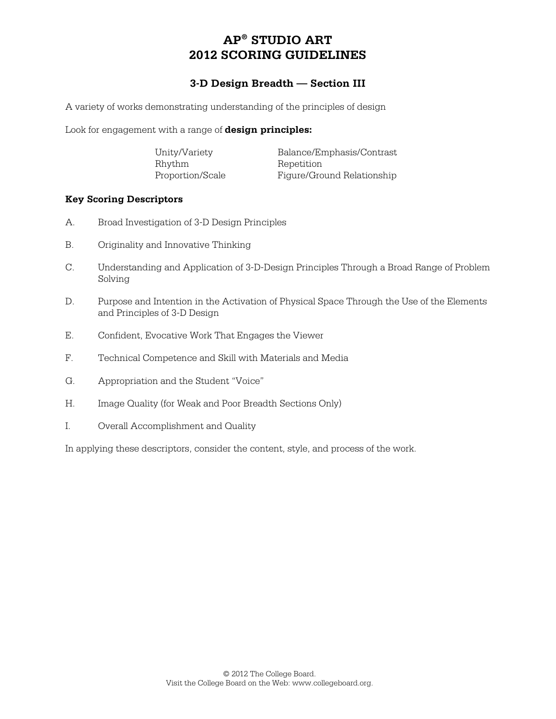### **3-D Design Breadth — Section III**

A variety of works demonstrating understanding of the principles of design

Look for engagement with a range of **design principles:**

| Unity/Variety    | Balance/Emphasis/Contrast  |
|------------------|----------------------------|
| Rhythm           | Repetition                 |
| Proportion/Scale | Figure/Ground Relationship |

#### **Key Scoring Descriptors**

- A. Broad Investigation of 3-D Design Principles
- B. Originality and Innovative Thinking
- C. Understanding and Application of 3-D-Design Principles Through a Broad Range of Problem Solving
- D. Purpose and Intention in the Activation of Physical Space Through the Use of the Elements and Principles of 3-D Design
- E. Confident, Evocative Work That Engages the Viewer
- F. Technical Competence and Skill with Materials and Media
- G. Appropriation and the Student "Voice"
- H. Image Quality (for Weak and Poor Breadth Sections Only)
- I. Overall Accomplishment and Quality

In applying these descriptors, consider the content, style, and process of the work.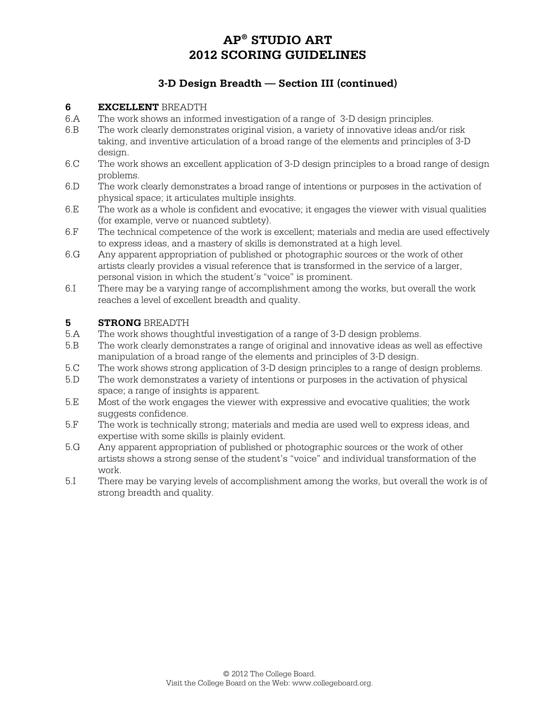### **3-D Design Breadth — Section III (continued)**

#### **6 EXCELLENT** BREADTH

- 6.A The work shows an informed investigation of a range of 3-D design principles.
- 6.B The work clearly demonstrates original vision, a variety of innovative ideas and/or risk taking, and inventive articulation of a broad range of the elements and principles of 3-D design.
- 6.C The work shows an excellent application of 3-D design principles to a broad range of design problems.
- 6.D The work clearly demonstrates a broad range of intentions or purposes in the activation of physical space; it articulates multiple insights.
- 6.E The work as a whole is confident and evocative; it engages the viewer with visual qualities (for example, verve or nuanced subtlety).
- 6.F The technical competence of the work is excellent; materials and media are used effectively to express ideas, and a mastery of skills is demonstrated at a high level.
- 6.G Any apparent appropriation of published or photographic sources or the work of other artists clearly provides a visual reference that is transformed in the service of a larger, personal vision in which the student's "voice" is prominent.
- 6.I There may be a varying range of accomplishment among the works, but overall the work reaches a level of excellent breadth and quality.

#### **5 STRONG** BREADTH

- 5.A The work shows thoughtful investigation of a range of 3-D design problems.
- 5.B The work clearly demonstrates a range of original and innovative ideas as well as effective manipulation of a broad range of the elements and principles of 3-D design.
- 5.C The work shows strong application of 3-D design principles to a range of design problems.
- 5.D The work demonstrates a variety of intentions or purposes in the activation of physical space; a range of insights is apparent.
- 5.E Most of the work engages the viewer with expressive and evocative qualities; the work suggests confidence.
- 5.F The work is technically strong; materials and media are used well to express ideas, and expertise with some skills is plainly evident.
- 5.G Any apparent appropriation of published or photographic sources or the work of other artists shows a strong sense of the student's "voice" and individual transformation of the work.
- 5.I There may be varying levels of accomplishment among the works, but overall the work is of strong breadth and quality.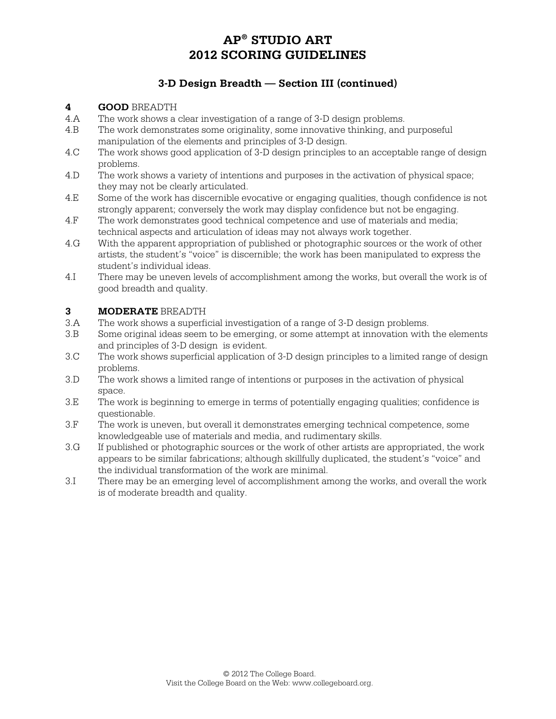### **3-D Design Breadth — Section III (continued)**

#### **4 GOOD** BREADTH

- 4.A The work shows a clear investigation of a range of 3-D design problems.
- 4.B The work demonstrates some originality, some innovative thinking, and purposeful manipulation of the elements and principles of 3-D design.
- 4.C The work shows good application of 3-D design principles to an acceptable range of design problems.
- 4.D The work shows a variety of intentions and purposes in the activation of physical space; they may not be clearly articulated.
- 4.E Some of the work has discernible evocative or engaging qualities, though confidence is not strongly apparent; conversely the work may display confidence but not be engaging.
- 4.F The work demonstrates good technical competence and use of materials and media; technical aspects and articulation of ideas may not always work together.
- 4.G With the apparent appropriation of published or photographic sources or the work of other artists, the student's "voice" is discernible; the work has been manipulated to express the student's individual ideas.
- 4.I There may be uneven levels of accomplishment among the works, but overall the work is of good breadth and quality.

#### **3 MODERATE** BREADTH

- 3.A The work shows a superficial investigation of a range of 3-D design problems.
- 3.B Some original ideas seem to be emerging, or some attempt at innovation with the elements and principles of 3-D design is evident.
- 3.C The work shows superficial application of 3-D design principles to a limited range of design problems.
- 3.D The work shows a limited range of intentions or purposes in the activation of physical space.
- 3.E The work is beginning to emerge in terms of potentially engaging qualities; confidence is questionable.
- 3.F The work is uneven, but overall it demonstrates emerging technical competence, some knowledgeable use of materials and media, and rudimentary skills.
- 3.G If published or photographic sources or the work of other artists are appropriated, the work appears to be similar fabrications; although skillfully duplicated, the student's "voice" and the individual transformation of the work are minimal.
- 3.I There may be an emerging level of accomplishment among the works, and overall the work is of moderate breadth and quality.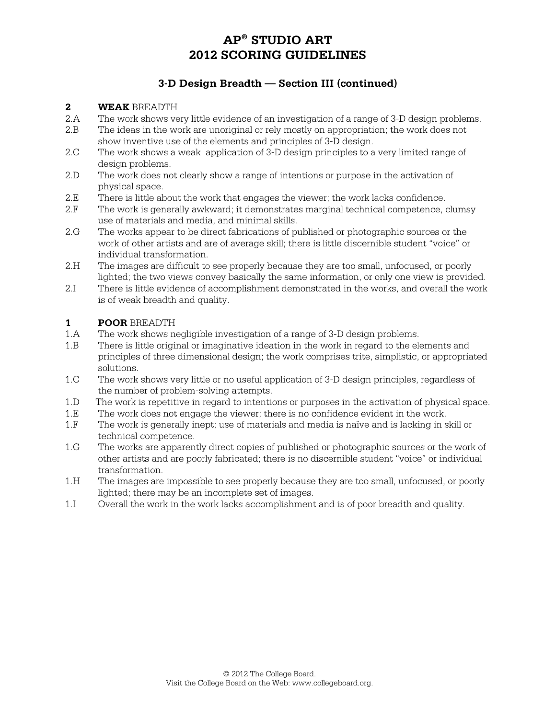### **3-D Design Breadth — Section III (continued)**

#### **2 WEAK** BREADTH

- 2.A The work shows very little evidence of an investigation of a range of 3-D design problems.
- 2.B The ideas in the work are unoriginal or rely mostly on appropriation; the work does not show inventive use of the elements and principles of 3-D design.
- 2.C The work shows a weak application of 3-D design principles to a very limited range of design problems.
- 2.D The work does not clearly show a range of intentions or purpose in the activation of physical space.
- 2.E There is little about the work that engages the viewer; the work lacks confidence.
- 2.F The work is generally awkward; it demonstrates marginal technical competence, clumsy use of materials and media, and minimal skills.
- 2.G The works appear to be direct fabrications of published or photographic sources or the work of other artists and are of average skill; there is little discernible student "voice" or individual transformation.
- 2.H The images are difficult to see properly because they are too small, unfocused, or poorly lighted; the two views convey basically the same information, or only one view is provided.
- 2.I There is little evidence of accomplishment demonstrated in the works, and overall the work is of weak breadth and quality.

### **1 POOR** BREADTH

- 1.A The work shows negligible investigation of a range of 3-D design problems.
- 1.B There is little original or imaginative ideation in the work in regard to the elements and principles of three dimensional design; the work comprises trite, simplistic, or appropriated solutions.
- 1.C The work shows very little or no useful application of 3-D design principles, regardless of the number of problem-solving attempts.
- 1.D The work is repetitive in regard to intentions or purposes in the activation of physical space.
- 1.E The work does not engage the viewer; there is no confidence evident in the work.
- 1.F The work is generally inept; use of materials and media is naïve and is lacking in skill or technical competence.
- 1.G The works are apparently direct copies of published or photographic sources or the work of other artists and are poorly fabricated; there is no discernible student "voice" or individual transformation.
- 1.H The images are impossible to see properly because they are too small, unfocused, or poorly lighted; there may be an incomplete set of images.
- 1.I Overall the work in the work lacks accomplishment and is of poor breadth and quality.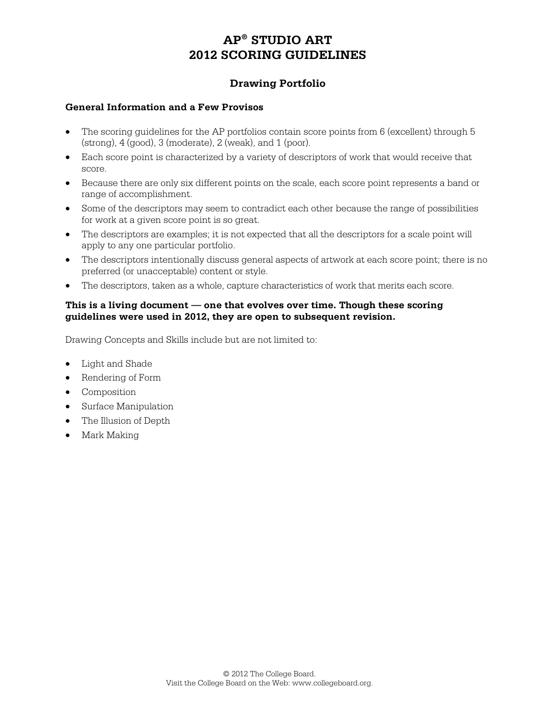### **Drawing Portfolio**

#### **General Information and a Few Provisos**

- The scoring guidelines for the AP portfolios contain score points from 6 (excellent) through 5 (strong), 4 (good), 3 (moderate), 2 (weak), and 1 (poor).
- Each score point is characterized by a variety of descriptors of work that would receive that score.
- Because there are only six different points on the scale, each score point represents a band or range of accomplishment.
- Some of the descriptors may seem to contradict each other because the range of possibilities for work at a given score point is so great.
- The descriptors are examples; it is not expected that all the descriptors for a scale point will apply to any one particular portfolio.
- The descriptors intentionally discuss general aspects of artwork at each score point; there is no preferred (or unacceptable) content or style.
- The descriptors, taken as a whole, capture characteristics of work that merits each score.

#### **This is a living document — one that evolves over time. Though these scoring guidelines were used in 2012, they are open to subsequent revision.**

Drawing Concepts and Skills include but are not limited to:

- Light and Shade
- Rendering of Form
- Composition
- Surface Manipulation
- The Illusion of Depth
- Mark Making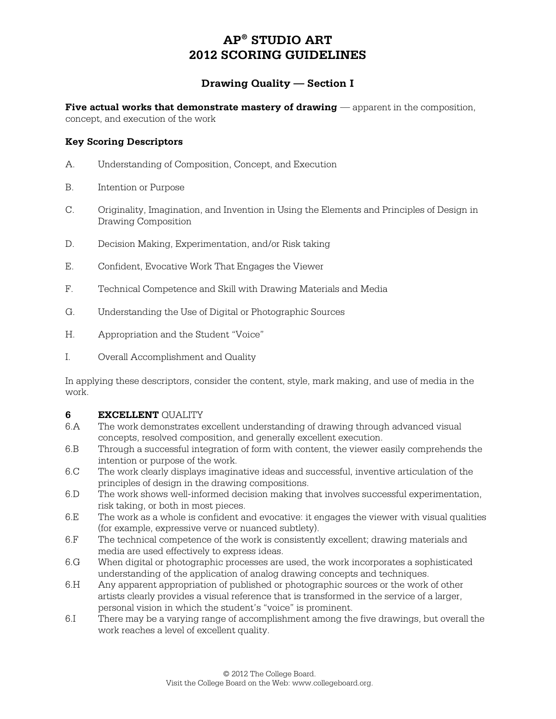### **Drawing Quality — Section I**

**Five actual works that demonstrate mastery of drawing** — apparent in the composition, concept, and execution of the work

#### **Key Scoring Descriptors**

- A. Understanding of Composition, Concept, and Execution
- B. Intention or Purpose
- C. Originality, Imagination, and Invention in Using the Elements and Principles of Design in Drawing Composition
- D. Decision Making, Experimentation, and/or Risk taking
- E. Confident, Evocative Work That Engages the Viewer
- F. Technical Competence and Skill with Drawing Materials and Media
- G. Understanding the Use of Digital or Photographic Sources
- H. Appropriation and the Student "Voice"
- I. Overall Accomplishment and Quality

In applying these descriptors, consider the content, style, mark making, and use of media in the work.

#### **6 EXCELLENT** QUALITY

- 6.A The work demonstrates excellent understanding of drawing through advanced visual concepts, resolved composition, and generally excellent execution.
- 6.B Through a successful integration of form with content, the viewer easily comprehends the intention or purpose of the work.
- 6.C The work clearly displays imaginative ideas and successful, inventive articulation of the principles of design in the drawing compositions.
- 6.D The work shows well-informed decision making that involves successful experimentation, risk taking, or both in most pieces.
- 6.E The work as a whole is confident and evocative: it engages the viewer with visual qualities (for example, expressive verve or nuanced subtlety).
- 6.F The technical competence of the work is consistently excellent; drawing materials and media are used effectively to express ideas.
- 6.G When digital or photographic processes are used, the work incorporates a sophisticated understanding of the application of analog drawing concepts and techniques.
- 6.H Any apparent appropriation of published or photographic sources or the work of other artists clearly provides a visual reference that is transformed in the service of a larger, personal vision in which the student's "voice" is prominent.
- 6.I There may be a varying range of accomplishment among the five drawings, but overall the work reaches a level of excellent quality.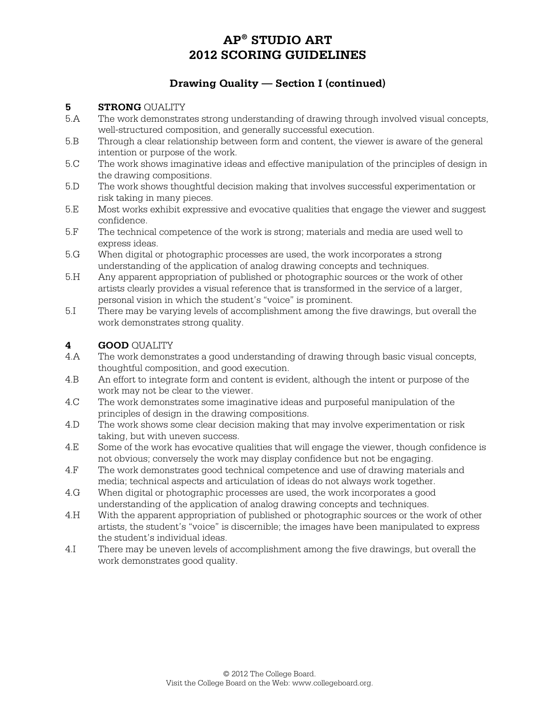### **Drawing Quality — Section I (continued)**

#### **5 STRONG** OUALITY

- 5.A The work demonstrates strong understanding of drawing through involved visual concepts, well-structured composition, and generally successful execution.
- 5.B Through a clear relationship between form and content, the viewer is aware of the general intention or purpose of the work.
- 5.C The work shows imaginative ideas and effective manipulation of the principles of design in the drawing compositions.
- 5.D The work shows thoughtful decision making that involves successful experimentation or risk taking in many pieces.
- 5.E Most works exhibit expressive and evocative qualities that engage the viewer and suggest confidence.
- 5.F The technical competence of the work is strong; materials and media are used well to express ideas.
- 5.G When digital or photographic processes are used, the work incorporates a strong understanding of the application of analog drawing concepts and techniques.
- 5.H Any apparent appropriation of published or photographic sources or the work of other artists clearly provides a visual reference that is transformed in the service of a larger, personal vision in which the student's "voice" is prominent.
- 5.I There may be varying levels of accomplishment among the five drawings, but overall the work demonstrates strong quality.

#### **4 GOOD** QUALITY

- 4.A The work demonstrates a good understanding of drawing through basic visual concepts, thoughtful composition, and good execution.
- 4.B An effort to integrate form and content is evident, although the intent or purpose of the work may not be clear to the viewer.
- 4.C The work demonstrates some imaginative ideas and purposeful manipulation of the principles of design in the drawing compositions.
- 4.D The work shows some clear decision making that may involve experimentation or risk taking, but with uneven success.
- 4.E Some of the work has evocative qualities that will engage the viewer, though confidence is not obvious; conversely the work may display confidence but not be engaging.
- 4.F The work demonstrates good technical competence and use of drawing materials and media; technical aspects and articulation of ideas do not always work together.
- 4.G When digital or photographic processes are used, the work incorporates a good understanding of the application of analog drawing concepts and techniques.
- 4.H With the apparent appropriation of published or photographic sources or the work of other artists, the student's "voice" is discernible; the images have been manipulated to express the student's individual ideas.
- 4.I There may be uneven levels of accomplishment among the five drawings, but overall the work demonstrates good quality.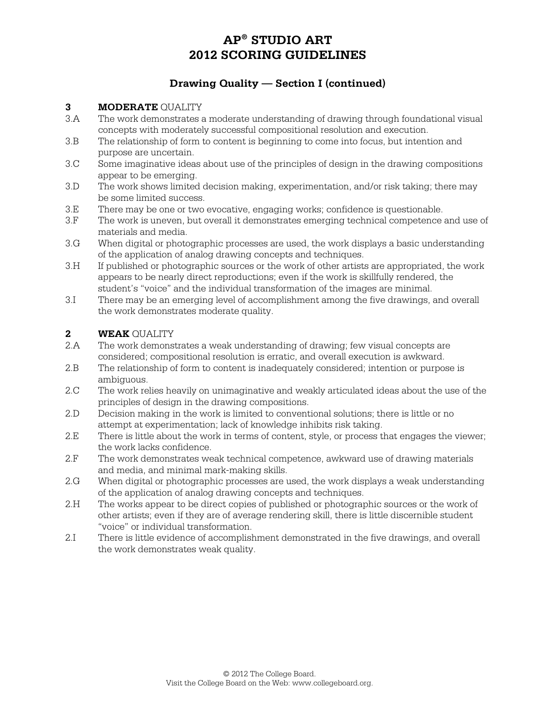### **Drawing Quality — Section I (continued)**

#### **3 MODERATE** QUALITY

- 3.A The work demonstrates a moderate understanding of drawing through foundational visual concepts with moderately successful compositional resolution and execution.
- 3.B The relationship of form to content is beginning to come into focus, but intention and purpose are uncertain.
- 3.C Some imaginative ideas about use of the principles of design in the drawing compositions appear to be emerging.
- 3.D The work shows limited decision making, experimentation, and/or risk taking; there may be some limited success.
- 3.E There may be one or two evocative, engaging works; confidence is questionable.
- 3.F The work is uneven, but overall it demonstrates emerging technical competence and use of materials and media.
- 3.G When digital or photographic processes are used, the work displays a basic understanding of the application of analog drawing concepts and techniques.
- 3.H If published or photographic sources or the work of other artists are appropriated, the work appears to be nearly direct reproductions; even if the work is skillfully rendered, the student's "voice" and the individual transformation of the images are minimal.
- 3.I There may be an emerging level of accomplishment among the five drawings, and overall the work demonstrates moderate quality.

#### 2 **WEAK** OUALITY

- 2.A The work demonstrates a weak understanding of drawing; few visual concepts are considered; compositional resolution is erratic, and overall execution is awkward.
- 2.B The relationship of form to content is inadequately considered; intention or purpose is ambiguous.
- 2.C The work relies heavily on unimaginative and weakly articulated ideas about the use of the principles of design in the drawing compositions.
- 2.D Decision making in the work is limited to conventional solutions; there is little or no attempt at experimentation; lack of knowledge inhibits risk taking.
- 2.E There is little about the work in terms of content, style, or process that engages the viewer; the work lacks confidence.
- 2.F The work demonstrates weak technical competence, awkward use of drawing materials and media, and minimal mark-making skills.
- 2.G When digital or photographic processes are used, the work displays a weak understanding of the application of analog drawing concepts and techniques.
- 2.H The works appear to be direct copies of published or photographic sources or the work of other artists; even if they are of average rendering skill, there is little discernible student "voice" or individual transformation.
- 2.I There is little evidence of accomplishment demonstrated in the five drawings, and overall the work demonstrates weak quality.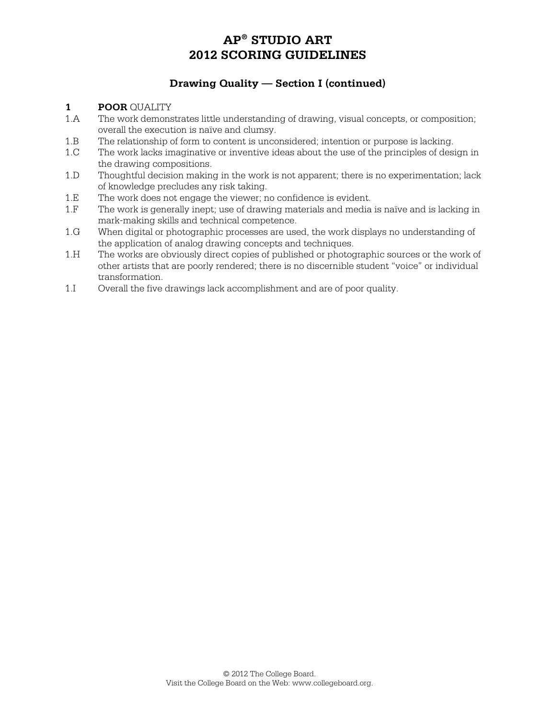### **Drawing Quality — Section I (continued)**

#### **1 POOR** OUALITY

- 1.A The work demonstrates little understanding of drawing, visual concepts, or composition; overall the execution is naïve and clumsy.
- 1.B The relationship of form to content is unconsidered; intention or purpose is lacking.
- 1.C The work lacks imaginative or inventive ideas about the use of the principles of design in the drawing compositions.
- 1.D Thoughtful decision making in the work is not apparent; there is no experimentation; lack of knowledge precludes any risk taking.
- 1.E The work does not engage the viewer; no confidence is evident.
- 1.F The work is generally inept; use of drawing materials and media is naïve and is lacking in mark-making skills and technical competence.
- 1.G When digital or photographic processes are used, the work displays no understanding of the application of analog drawing concepts and techniques.
- 1.H The works are obviously direct copies of published or photographic sources or the work of other artists that are poorly rendered; there is no discernible student "voice" or individual transformation.
- 1.I Overall the five drawings lack accomplishment and are of poor quality.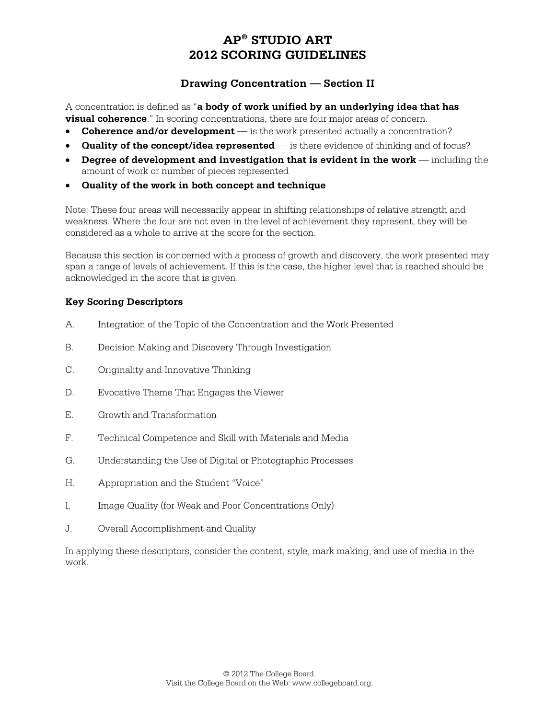### **Drawing Concentration — Section II**

A concentration is defined as "**a body of work unified by an underlying idea that has visual coherence**." In scoring concentrations, there are four major areas of concern.

- **Coherence and/or development** is the work presented actually a concentration?
- **Quality of the concept/idea represented** is there evidence of thinking and of focus?
- **Degree of development and investigation that is evident in the work** including the amount of work or number of pieces represented
- **Quality of the work in both concept and technique**

Note: These four areas will necessarily appear in shifting relationships of relative strength and weakness. Where the four are not even in the level of achievement they represent, they will be considered as a whole to arrive at the score for the section.

Because this section is concerned with a process of growth and discovery, the work presented may span a range of levels of achievement. If this is the case, the higher level that is reached should be acknowledged in the score that is given.

#### **Key Scoring Descriptors**

- A. Integration of the Topic of the Concentration and the Work Presented
- B. Decision Making and Discovery Through Investigation
- C. Originality and Innovative Thinking
- D. Evocative Theme That Engages the Viewer
- E. Growth and Transformation
- F. Technical Competence and Skill with Materials and Media
- G. Understanding the Use of Digital or Photographic Processes
- H. Appropriation and the Student "Voice"
- I. Image Quality (for Weak and Poor Concentrations Only)
- J. Overall Accomplishment and Quality

In applying these descriptors, consider the content, style, mark making, and use of media in the work.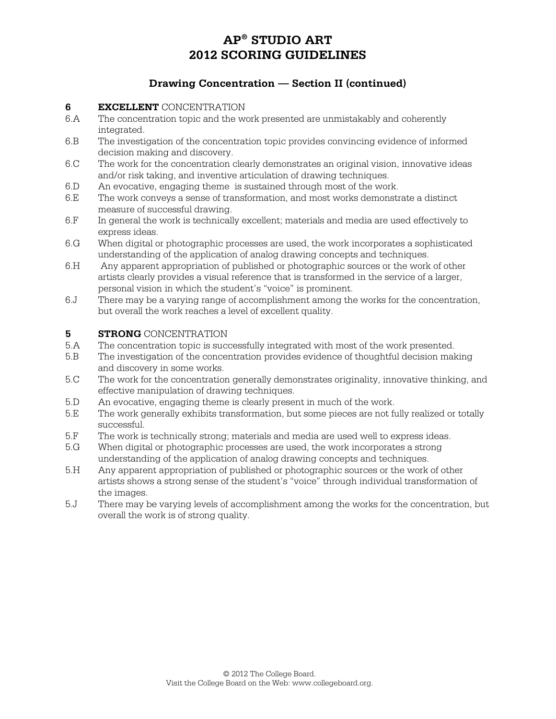### **Drawing Concentration — Section II (continued)**

#### **6 EXCELLENT** CONCENTRATION

- 6.A The concentration topic and the work presented are unmistakably and coherently integrated.
- 6.B The investigation of the concentration topic provides convincing evidence of informed decision making and discovery.
- 6.C The work for the concentration clearly demonstrates an original vision, innovative ideas and/or risk taking, and inventive articulation of drawing techniques.
- 6.D An evocative, engaging theme is sustained through most of the work.
- 6.E The work conveys a sense of transformation, and most works demonstrate a distinct measure of successful drawing.
- 6.F In general the work is technically excellent; materials and media are used effectively to express ideas.
- 6.G When digital or photographic processes are used, the work incorporates a sophisticated understanding of the application of analog drawing concepts and techniques.
- 6.H Any apparent appropriation of published or photographic sources or the work of other artists clearly provides a visual reference that is transformed in the service of a larger, personal vision in which the student's "voice" is prominent.
- 6.J There may be a varying range of accomplishment among the works for the concentration, but overall the work reaches a level of excellent quality.

#### **5 STRONG** CONCENTRATION

- 5.A The concentration topic is successfully integrated with most of the work presented.
- 5.B The investigation of the concentration provides evidence of thoughtful decision making and discovery in some works.
- 5.C The work for the concentration generally demonstrates originality, innovative thinking, and effective manipulation of drawing techniques.
- 5.D An evocative, engaging theme is clearly present in much of the work.
- 5.E The work generally exhibits transformation, but some pieces are not fully realized or totally successful.
- 5.F The work is technically strong; materials and media are used well to express ideas.
- 5.G When digital or photographic processes are used, the work incorporates a strong understanding of the application of analog drawing concepts and techniques.
- 5.H Any apparent appropriation of published or photographic sources or the work of other artists shows a strong sense of the student's "voice" through individual transformation of the images.
- 5.J There may be varying levels of accomplishment among the works for the concentration, but overall the work is of strong quality.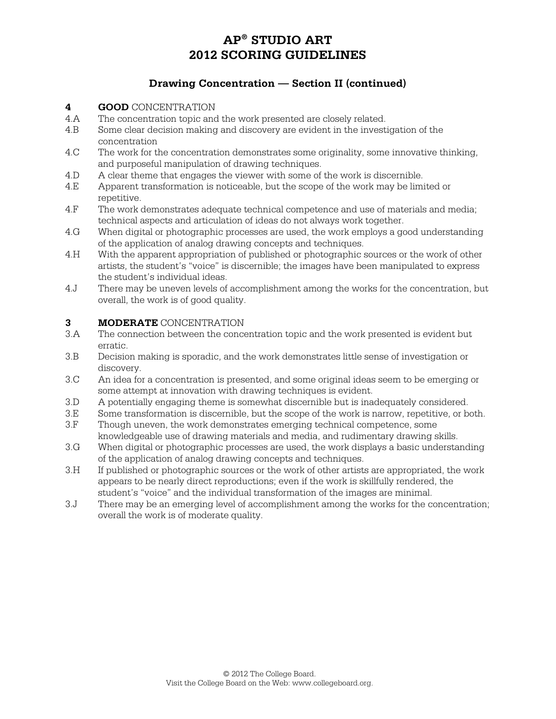### **Drawing Concentration — Section II (continued)**

#### **4 GOOD** CONCENTRATION

- 4.A The concentration topic and the work presented are closely related.
- 4.B Some clear decision making and discovery are evident in the investigation of the concentration
- 4.C The work for the concentration demonstrates some originality, some innovative thinking, and purposeful manipulation of drawing techniques.
- 4.D A clear theme that engages the viewer with some of the work is discernible.
- 4.E Apparent transformation is noticeable, but the scope of the work may be limited or repetitive.
- 4.F The work demonstrates adequate technical competence and use of materials and media; technical aspects and articulation of ideas do not always work together.
- 4.G When digital or photographic processes are used, the work employs a good understanding of the application of analog drawing concepts and techniques.
- 4.H With the apparent appropriation of published or photographic sources or the work of other artists, the student's "voice" is discernible; the images have been manipulated to express the student's individual ideas.
- 4.J There may be uneven levels of accomplishment among the works for the concentration, but overall, the work is of good quality.

#### **3 MODERATE** CONCENTRATION

- 3.A The connection between the concentration topic and the work presented is evident but erratic.
- 3.B Decision making is sporadic, and the work demonstrates little sense of investigation or discovery.
- 3.C An idea for a concentration is presented, and some original ideas seem to be emerging or some attempt at innovation with drawing techniques is evident.
- 3.D A potentially engaging theme is somewhat discernible but is inadequately considered.
- 3.E Some transformation is discernible, but the scope of the work is narrow, repetitive, or both.
- 3.F Though uneven, the work demonstrates emerging technical competence, some knowledgeable use of drawing materials and media, and rudimentary drawing skills.
- 3.G When digital or photographic processes are used, the work displays a basic understanding of the application of analog drawing concepts and techniques.
- 3.H If published or photographic sources or the work of other artists are appropriated, the work appears to be nearly direct reproductions; even if the work is skillfully rendered, the student's "voice" and the individual transformation of the images are minimal.
- 3.J There may be an emerging level of accomplishment among the works for the concentration; overall the work is of moderate quality.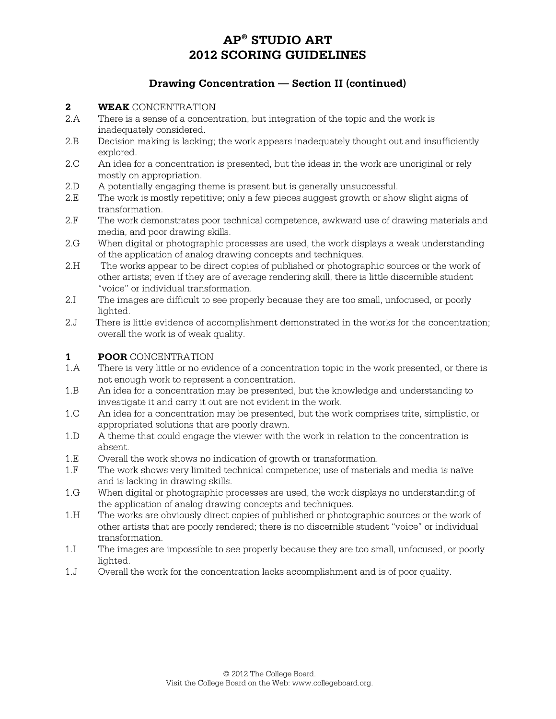### **Drawing Concentration — Section II (continued)**

#### **2 WEAK** CONCENTRATION

- 2.A There is a sense of a concentration, but integration of the topic and the work is inadequately considered.
- 2.B Decision making is lacking; the work appears inadequately thought out and insufficiently explored.
- 2.C An idea for a concentration is presented, but the ideas in the work are unoriginal or rely mostly on appropriation.
- 2.D A potentially engaging theme is present but is generally unsuccessful.
- 2.E The work is mostly repetitive; only a few pieces suggest growth or show slight signs of transformation.
- 2.F The work demonstrates poor technical competence, awkward use of drawing materials and media, and poor drawing skills.
- 2.G When digital or photographic processes are used, the work displays a weak understanding of the application of analog drawing concepts and techniques.
- 2.H The works appear to be direct copies of published or photographic sources or the work of other artists; even if they are of average rendering skill, there is little discernible student "voice" or individual transformation.
- 2.I The images are difficult to see properly because they are too small, unfocused, or poorly lighted.
- 2.J There is little evidence of accomplishment demonstrated in the works for the concentration; overall the work is of weak quality.

#### **1 POOR** CONCENTRATION

- 1.A There is very little or no evidence of a concentration topic in the work presented, or there is not enough work to represent a concentration.
- 1.B An idea for a concentration may be presented, but the knowledge and understanding to investigate it and carry it out are not evident in the work.
- 1.C An idea for a concentration may be presented, but the work comprises trite, simplistic, or appropriated solutions that are poorly drawn.
- 1.D A theme that could engage the viewer with the work in relation to the concentration is absent.
- 1.E Overall the work shows no indication of growth or transformation.<br>1.F The work shows very limited technical competence: use of material
- The work shows very limited technical competence; use of materials and media is naïve and is lacking in drawing skills.
- 1.G When digital or photographic processes are used, the work displays no understanding of the application of analog drawing concepts and techniques.
- 1.H The works are obviously direct copies of published or photographic sources or the work of other artists that are poorly rendered; there is no discernible student "voice" or individual transformation.
- 1.I The images are impossible to see properly because they are too small, unfocused, or poorly lighted.
- 1.J Overall the work for the concentration lacks accomplishment and is of poor quality.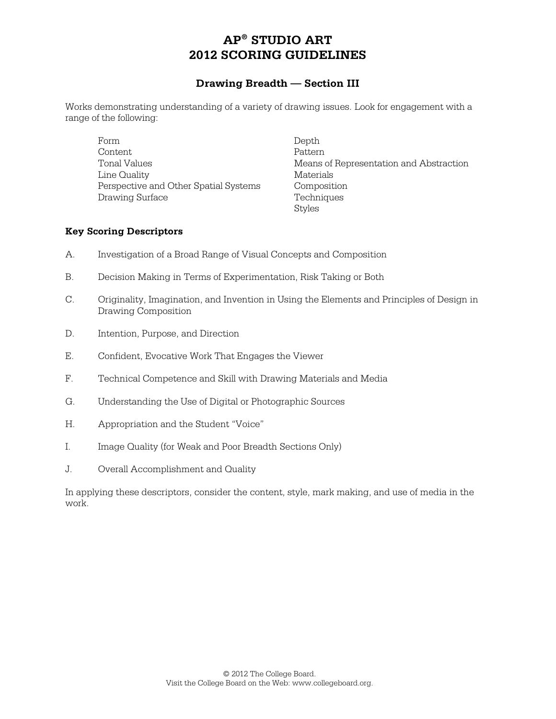#### **Drawing Breadth — Section III**

Works demonstrating understanding of a variety of drawing issues. Look for engagement with a range of the following:

Form Depth Content Pattern Pattern Pattern Pattern Pattern Pattern Pattern Pattern Pattern Pattern Pattern Pattern Pattern Pattern Pattern Pattern Pattern Pattern Pattern Pattern Pattern Pattern Pattern Pattern Pattern Pattern Patter Tonal Values **Means** of Representation and Abstraction Line Quality Materials Perspective and Other Spatial Systems Composition Drawing Surface Techniques

Styles

#### **Key Scoring Descriptors**

- A. Investigation of a Broad Range of Visual Concepts and Composition
- B. Decision Making in Terms of Experimentation, Risk Taking or Both
- C. Originality, Imagination, and Invention in Using the Elements and Principles of Design in Drawing Composition
- D. Intention, Purpose, and Direction
- E. Confident, Evocative Work That Engages the Viewer
- F. Technical Competence and Skill with Drawing Materials and Media
- G. Understanding the Use of Digital or Photographic Sources
- H. Appropriation and the Student "Voice"
- I. Image Quality (for Weak and Poor Breadth Sections Only)
- J. Overall Accomplishment and Quality

In applying these descriptors, consider the content, style, mark making, and use of media in the work.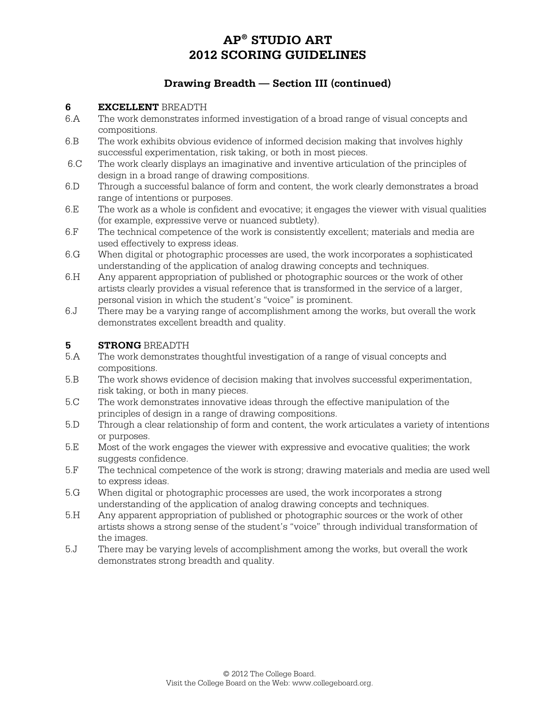### **Drawing Breadth — Section III (continued)**

#### **6 EXCELLENT** BREADTH

- 6.A The work demonstrates informed investigation of a broad range of visual concepts and compositions.
- 6.B The work exhibits obvious evidence of informed decision making that involves highly successful experimentation, risk taking, or both in most pieces.
- 6.C The work clearly displays an imaginative and inventive articulation of the principles of design in a broad range of drawing compositions.
- 6.D Through a successful balance of form and content, the work clearly demonstrates a broad range of intentions or purposes.
- 6.E The work as a whole is confident and evocative; it engages the viewer with visual qualities (for example, expressive verve or nuanced subtlety).
- 6.F The technical competence of the work is consistently excellent; materials and media are used effectively to express ideas.
- 6.G When digital or photographic processes are used, the work incorporates a sophisticated understanding of the application of analog drawing concepts and techniques.
- 6.H Any apparent appropriation of published or photographic sources or the work of other artists clearly provides a visual reference that is transformed in the service of a larger, personal vision in which the student's "voice" is prominent.
- 6.J There may be a varying range of accomplishment among the works, but overall the work demonstrates excellent breadth and quality.

#### **5 STRONG** BREADTH

- 5.A The work demonstrates thoughtful investigation of a range of visual concepts and compositions.
- 5.B The work shows evidence of decision making that involves successful experimentation, risk taking, or both in many pieces.
- 5.C The work demonstrates innovative ideas through the effective manipulation of the principles of design in a range of drawing compositions.
- 5.D Through a clear relationship of form and content, the work articulates a variety of intentions or purposes.
- 5.E Most of the work engages the viewer with expressive and evocative qualities; the work suggests confidence.
- 5.F The technical competence of the work is strong; drawing materials and media are used well to express ideas.
- 5.G When digital or photographic processes are used, the work incorporates a strong understanding of the application of analog drawing concepts and techniques.
- 5.H Any apparent appropriation of published or photographic sources or the work of other artists shows a strong sense of the student's "voice" through individual transformation of the images.
- 5.J There may be varying levels of accomplishment among the works, but overall the work demonstrates strong breadth and quality.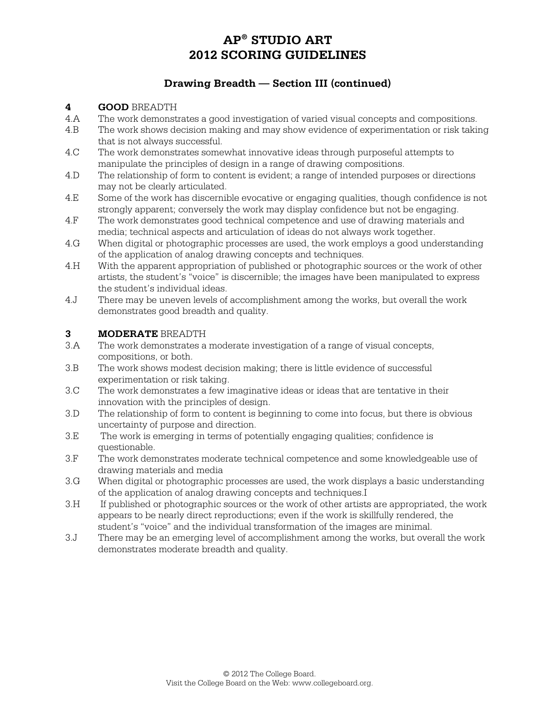### **Drawing Breadth — Section III (continued)**

#### **4 GOOD** BREADTH

- 4.A The work demonstrates a good investigation of varied visual concepts and compositions.
- 4.B The work shows decision making and may show evidence of experimentation or risk taking that is not always successful.
- 4.C The work demonstrates somewhat innovative ideas through purposeful attempts to manipulate the principles of design in a range of drawing compositions.
- 4.D The relationship of form to content is evident; a range of intended purposes or directions may not be clearly articulated.
- 4.E Some of the work has discernible evocative or engaging qualities, though confidence is not strongly apparent; conversely the work may display confidence but not be engaging.
- 4.F The work demonstrates good technical competence and use of drawing materials and media; technical aspects and articulation of ideas do not always work together.
- 4.G When digital or photographic processes are used, the work employs a good understanding of the application of analog drawing concepts and techniques.
- 4.H With the apparent appropriation of published or photographic sources or the work of other artists, the student's "voice" is discernible; the images have been manipulated to express the student's individual ideas.
- 4.J There may be uneven levels of accomplishment among the works, but overall the work demonstrates good breadth and quality.

#### **3 MODERATE** BREADTH

- 3.A The work demonstrates a moderate investigation of a range of visual concepts, compositions, or both.
- 3.B The work shows modest decision making; there is little evidence of successful experimentation or risk taking.
- 3.C The work demonstrates a few imaginative ideas or ideas that are tentative in their innovation with the principles of design.
- 3.D The relationship of form to content is beginning to come into focus, but there is obvious uncertainty of purpose and direction.
- 3.E The work is emerging in terms of potentially engaging qualities; confidence is questionable.
- 3.F The work demonstrates moderate technical competence and some knowledgeable use of drawing materials and media
- 3.G When digital or photographic processes are used, the work displays a basic understanding of the application of analog drawing concepts and techniques.I
- 3.H If published or photographic sources or the work of other artists are appropriated, the work appears to be nearly direct reproductions; even if the work is skillfully rendered, the student's "voice" and the individual transformation of the images are minimal.
- 3.J There may be an emerging level of accomplishment among the works, but overall the work demonstrates moderate breadth and quality.